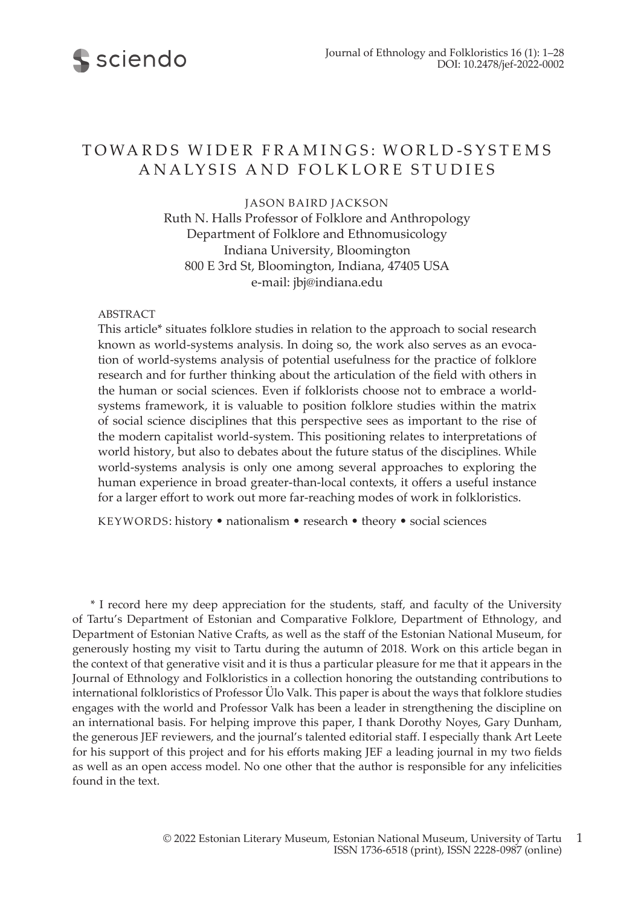

# TOWARDS WIDER FRAMINGS: WORLD-SYSTEMS ANALYSIS AND FOLKLORE STUDIES

JASON BAIRD JACKSON

Ruth N. Halls Professor of Folklore and Anthropology Department of Folklore and Ethnomusicology Indiana University, Bloomington 800 E 3rd St, Bloomington, Indiana, 47405 USA e-mail: jbj@indiana.edu

## ABSTRACT

This article\* situates folklore studies in relation to the approach to social research known as world-systems analysis. In doing so, the work also serves as an evocation of world-systems analysis of potential usefulness for the practice of folklore research and for further thinking about the articulation of the field with others in the human or social sciences. Even if folklorists choose not to embrace a worldsystems framework, it is valuable to position folklore studies within the matrix of social science disciplines that this perspective sees as important to the rise of the modern capitalist world-system. This positioning relates to interpretations of world history, but also to debates about the future status of the disciplines. While world-systems analysis is only one among several approaches to exploring the human experience in broad greater-than-local contexts, it offers a useful instance for a larger effort to work out more far-reaching modes of work in folkloristics.

KEYWORDS: history • nationalism • research • theory • social sciences

\* I record here my deep appreciation for the students, staff, and faculty of the University of Tartu's Department of Estonian and Comparative Folklore, Department of Ethnology, and Department of Estonian Native Crafts, as well as the staff of the Estonian National Museum, for generously hosting my visit to Tartu during the autumn of 2018. Work on this article began in the context of that generative visit and it is thus a particular pleasure for me that it appears in the Journal of Ethnology and Folkloristics in a collection honoring the outstanding contributions to international folkloristics of Professor Ülo Valk. This paper is about the ways that folklore studies engages with the world and Professor Valk has been a leader in strengthening the discipline on an international basis. For helping improve this paper, I thank Dorothy Noyes, Gary Dunham, the generous JEF reviewers, and the journal's talented editorial staff. I especially thank Art Leete for his support of this project and for his efforts making JEF a leading journal in my two fields as well as an open access model. No one other that the author is responsible for any infelicities found in the text.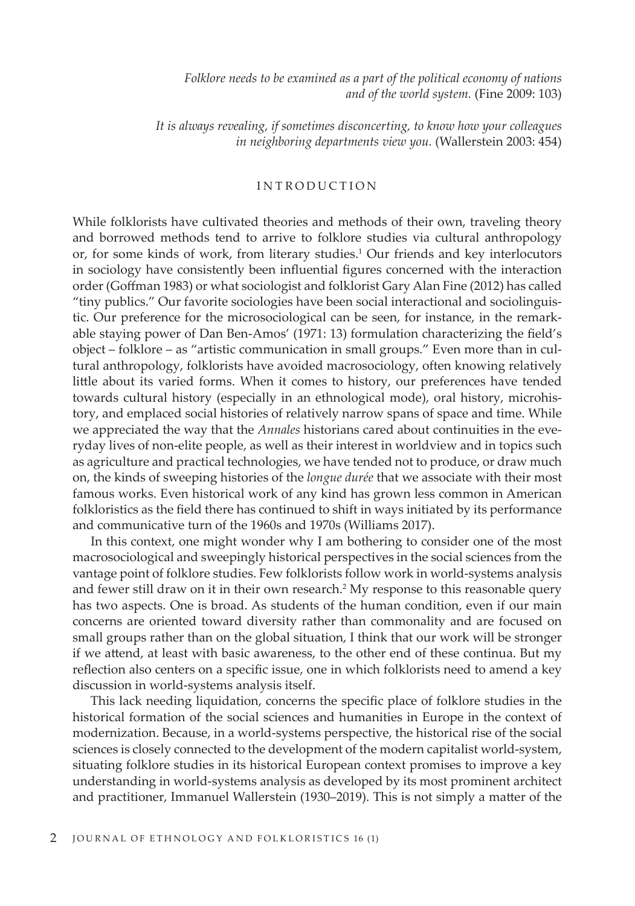*Folklore needs to be examined as a part of the political economy of nations and of the world system.* (Fine 2009: 103)

*It is always revealing, if sometimes disconcerting, to know how your colleagues in neighboring departments view you.* (Wallerstein 2003: 454)

# INTRODUCTION

While folklorists have cultivated theories and methods of their own, traveling theory and borrowed methods tend to arrive to folklore studies via cultural anthropology or, for some kinds of work, from literary studies.<sup>1</sup> Our friends and key interlocutors in sociology have consistently been influential figures concerned with the interaction order (Goffman 1983) or what sociologist and folklorist Gary Alan Fine (2012) has called "tiny publics." Our favorite sociologies have been social interactional and sociolinguistic. Our preference for the microsociological can be seen, for instance, in the remarkable staying power of Dan Ben-Amos' (1971: 13) formulation characterizing the field's object – folklore – as "artistic communication in small groups." Even more than in cultural anthropology, folklorists have avoided macrosociology, often knowing relatively little about its varied forms. When it comes to history, our preferences have tended towards cultural history (especially in an ethnological mode), oral history, microhistory, and emplaced social histories of relatively narrow spans of space and time. While we appreciated the way that the *Annales* historians cared about continuities in the everyday lives of non-elite people, as well as their interest in worldview and in topics such as agriculture and practical technologies, we have tended not to produce, or draw much on, the kinds of sweeping histories of the *longue durée* that we associate with their most famous works. Even historical work of any kind has grown less common in American folkloristics as the field there has continued to shift in ways initiated by its performance and communicative turn of the 1960s and 1970s (Williams 2017).

In this context, one might wonder why I am bothering to consider one of the most macrosociological and sweepingly historical perspectives in the social sciences from the vantage point of folklore studies. Few folklorists follow work in world-systems analysis and fewer still draw on it in their own research.2 My response to this reasonable query has two aspects. One is broad. As students of the human condition, even if our main concerns are oriented toward diversity rather than commonality and are focused on small groups rather than on the global situation, I think that our work will be stronger if we attend, at least with basic awareness, to the other end of these continua. But my reflection also centers on a specific issue, one in which folklorists need to amend a key discussion in world-systems analysis itself.

This lack needing liquidation, concerns the specific place of folklore studies in the historical formation of the social sciences and humanities in Europe in the context of modernization. Because, in a world-systems perspective, the historical rise of the social sciences is closely connected to the development of the modern capitalist world-system, situating folklore studies in its historical European context promises to improve a key understanding in world-systems analysis as developed by its most prominent architect and practitioner, Immanuel Wallerstein (1930–2019). This is not simply a matter of the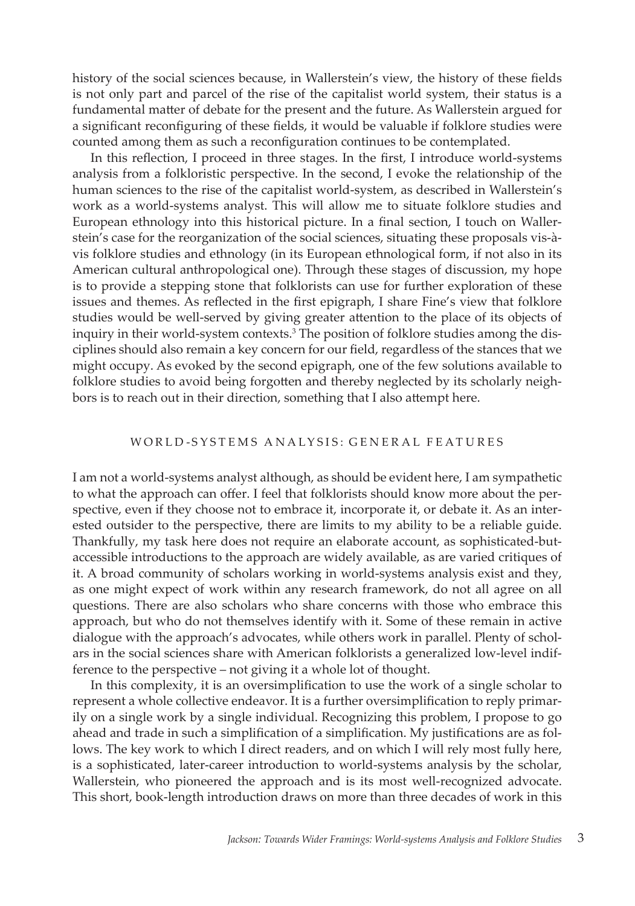history of the social sciences because, in Wallerstein's view, the history of these fields is not only part and parcel of the rise of the capitalist world system, their status is a fundamental matter of debate for the present and the future. As Wallerstein argued for a significant reconfiguring of these fields, it would be valuable if folklore studies were counted among them as such a reconfiguration continues to be contemplated.

In this reflection, I proceed in three stages. In the first, I introduce world-systems analysis from a folkloristic perspective. In the second, I evoke the relationship of the human sciences to the rise of the capitalist world-system, as described in Wallerstein's work as a world-systems analyst. This will allow me to situate folklore studies and European ethnology into this historical picture. In a final section, I touch on Wallerstein's case for the reorganization of the social sciences, situating these proposals vis-àvis folklore studies and ethnology (in its European ethnological form, if not also in its American cultural anthropological one). Through these stages of discussion, my hope is to provide a stepping stone that folklorists can use for further exploration of these issues and themes. As reflected in the first epigraph, I share Fine's view that folklore studies would be well-served by giving greater attention to the place of its objects of inquiry in their world-system contexts.<sup>3</sup> The position of folklore studies among the disciplines should also remain a key concern for our field, regardless of the stances that we might occupy. As evoked by the second epigraph, one of the few solutions available to folklore studies to avoid being forgotten and thereby neglected by its scholarly neighbors is to reach out in their direction, something that I also attempt here.

#### WORLD-SYSTEMS ANALYSIS: GENERAL FEATURES

I am not a world-systems analyst although, as should be evident here, I am sympathetic to what the approach can offer. I feel that folklorists should know more about the perspective, even if they choose not to embrace it, incorporate it, or debate it. As an interested outsider to the perspective, there are limits to my ability to be a reliable guide. Thankfully, my task here does not require an elaborate account, as sophisticated-butaccessible introductions to the approach are widely available, as are varied critiques of it. A broad community of scholars working in world-systems analysis exist and they, as one might expect of work within any research framework, do not all agree on all questions. There are also scholars who share concerns with those who embrace this approach, but who do not themselves identify with it. Some of these remain in active dialogue with the approach's advocates, while others work in parallel. Plenty of scholars in the social sciences share with American folklorists a generalized low-level indifference to the perspective – not giving it a whole lot of thought.

In this complexity, it is an oversimplification to use the work of a single scholar to represent a whole collective endeavor. It is a further oversimplification to reply primarily on a single work by a single individual. Recognizing this problem, I propose to go ahead and trade in such a simplification of a simplification. My justifications are as follows. The key work to which I direct readers, and on which I will rely most fully here, is a sophisticated, later-career introduction to world-systems analysis by the scholar, Wallerstein, who pioneered the approach and is its most well-recognized advocate. This short, book-length introduction draws on more than three decades of work in this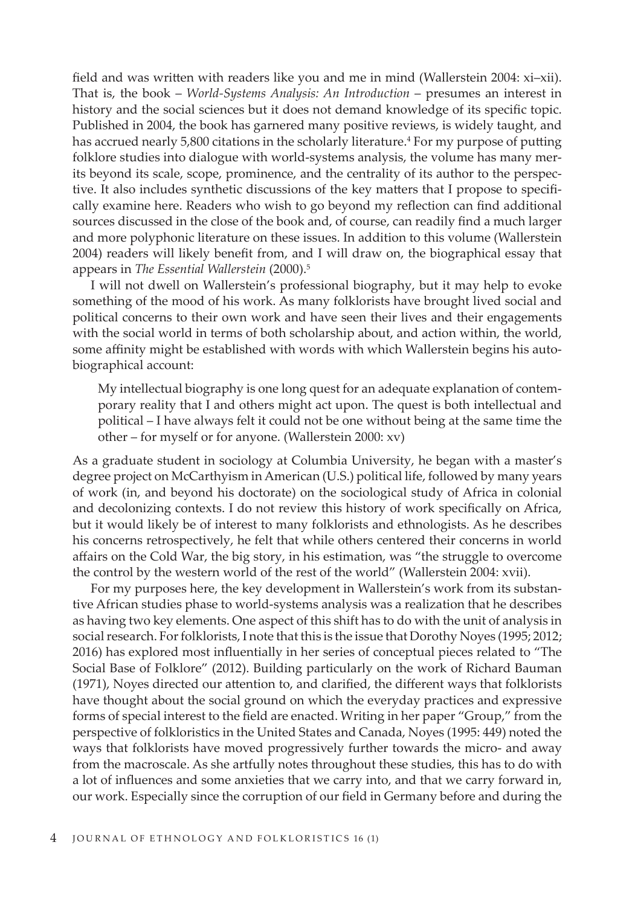field and was written with readers like you and me in mind (Wallerstein 2004: xi–xii). That is, the book – *World-Systems Analysis: An Introduction* – presumes an interest in history and the social sciences but it does not demand knowledge of its specific topic. Published in 2004, the book has garnered many positive reviews, is widely taught, and has accrued nearly 5,800 citations in the scholarly literature.<sup>4</sup> For my purpose of putting folklore studies into dialogue with world-systems analysis, the volume has many merits beyond its scale, scope, prominence, and the centrality of its author to the perspective. It also includes synthetic discussions of the key matters that I propose to specifically examine here. Readers who wish to go beyond my reflection can find additional sources discussed in the close of the book and, of course, can readily find a much larger and more polyphonic literature on these issues. In addition to this volume (Wallerstein 2004) readers will likely benefit from, and I will draw on, the biographical essay that appears in *The Essential Wallerstein* (2000).5

I will not dwell on Wallerstein's professional biography, but it may help to evoke something of the mood of his work. As many folklorists have brought lived social and political concerns to their own work and have seen their lives and their engagements with the social world in terms of both scholarship about, and action within, the world, some affinity might be established with words with which Wallerstein begins his autobiographical account:

My intellectual biography is one long quest for an adequate explanation of contemporary reality that I and others might act upon. The quest is both intellectual and political – I have always felt it could not be one without being at the same time the other – for myself or for anyone. (Wallerstein 2000: xv)

As a graduate student in sociology at Columbia University, he began with a master's degree project on McCarthyism in American (U.S.) political life, followed by many years of work (in, and beyond his doctorate) on the sociological study of Africa in colonial and decolonizing contexts. I do not review this history of work specifically on Africa, but it would likely be of interest to many folklorists and ethnologists. As he describes his concerns retrospectively, he felt that while others centered their concerns in world affairs on the Cold War, the big story, in his estimation, was "the struggle to overcome the control by the western world of the rest of the world" (Wallerstein 2004: xvii).

For my purposes here, the key development in Wallerstein's work from its substantive African studies phase to world-systems analysis was a realization that he describes as having two key elements. One aspect of this shift has to do with the unit of analysis in social research. For folklorists, I note that this is the issue that Dorothy Noyes (1995; 2012; 2016) has explored most influentially in her series of conceptual pieces related to "The Social Base of Folklore" (2012). Building particularly on the work of Richard Bauman (1971), Noyes directed our attention to, and clarified, the different ways that folklorists have thought about the social ground on which the everyday practices and expressive forms of special interest to the field are enacted. Writing in her paper "Group," from the perspective of folkloristics in the United States and Canada, Noyes (1995: 449) noted the ways that folklorists have moved progressively further towards the micro- and away from the macroscale. As she artfully notes throughout these studies, this has to do with a lot of influences and some anxieties that we carry into, and that we carry forward in, our work. Especially since the corruption of our field in Germany before and during the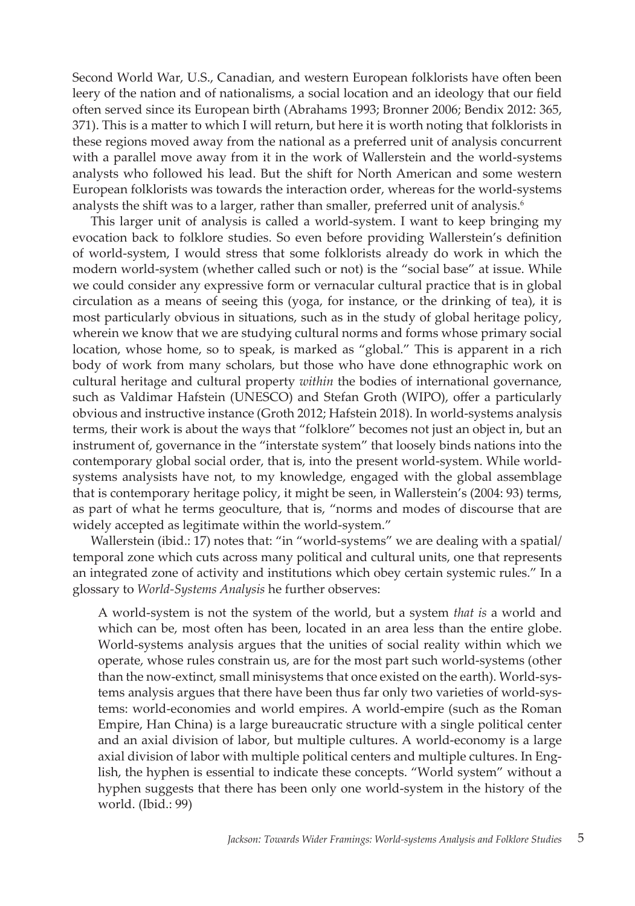Second World War, U.S., Canadian, and western European folklorists have often been leery of the nation and of nationalisms, a social location and an ideology that our field often served since its European birth (Abrahams 1993; Bronner 2006; Bendix 2012: 365, 371). This is a matter to which I will return, but here it is worth noting that folklorists in these regions moved away from the national as a preferred unit of analysis concurrent with a parallel move away from it in the work of Wallerstein and the world-systems analysts who followed his lead. But the shift for North American and some western European folklorists was towards the interaction order, whereas for the world-systems analysts the shift was to a larger, rather than smaller, preferred unit of analysis.<sup>6</sup>

This larger unit of analysis is called a world-system. I want to keep bringing my evocation back to folklore studies. So even before providing Wallerstein's definition of world-system, I would stress that some folklorists already do work in which the modern world-system (whether called such or not) is the "social base" at issue. While we could consider any expressive form or vernacular cultural practice that is in global circulation as a means of seeing this (yoga, for instance, or the drinking of tea), it is most particularly obvious in situations, such as in the study of global heritage policy, wherein we know that we are studying cultural norms and forms whose primary social location, whose home, so to speak, is marked as "global." This is apparent in a rich body of work from many scholars, but those who have done ethnographic work on cultural heritage and cultural property *within* the bodies of international governance, such as Valdimar Hafstein (UNESCO) and Stefan Groth (WIPO), offer a particularly obvious and instructive instance (Groth 2012; Hafstein 2018). In world-systems analysis terms, their work is about the ways that "folklore" becomes not just an object in, but an instrument of, governance in the "interstate system" that loosely binds nations into the contemporary global social order, that is, into the present world-system. While worldsystems analysists have not, to my knowledge, engaged with the global assemblage that is contemporary heritage policy, it might be seen, in Wallerstein's (2004: 93) terms, as part of what he terms geoculture, that is, "norms and modes of discourse that are widely accepted as legitimate within the world-system."

Wallerstein (ibid.: 17) notes that: "in "world-systems" we are dealing with a spatial/ temporal zone which cuts across many political and cultural units, one that represents an integrated zone of activity and institutions which obey certain systemic rules." In a glossary to *World-Systems Analysis* he further observes:

A world-system is not the system of the world, but a system *that is* a world and which can be, most often has been, located in an area less than the entire globe. World-systems analysis argues that the unities of social reality within which we operate, whose rules constrain us, are for the most part such world-systems (other than the now-extinct, small minisystems that once existed on the earth). World-systems analysis argues that there have been thus far only two varieties of world-systems: world-economies and world empires. A world-empire (such as the Roman Empire, Han China) is a large bureaucratic structure with a single political center and an axial division of labor, but multiple cultures. A world-economy is a large axial division of labor with multiple political centers and multiple cultures. In English, the hyphen is essential to indicate these concepts. "World system" without a hyphen suggests that there has been only one world-system in the history of the world. (Ibid.: 99)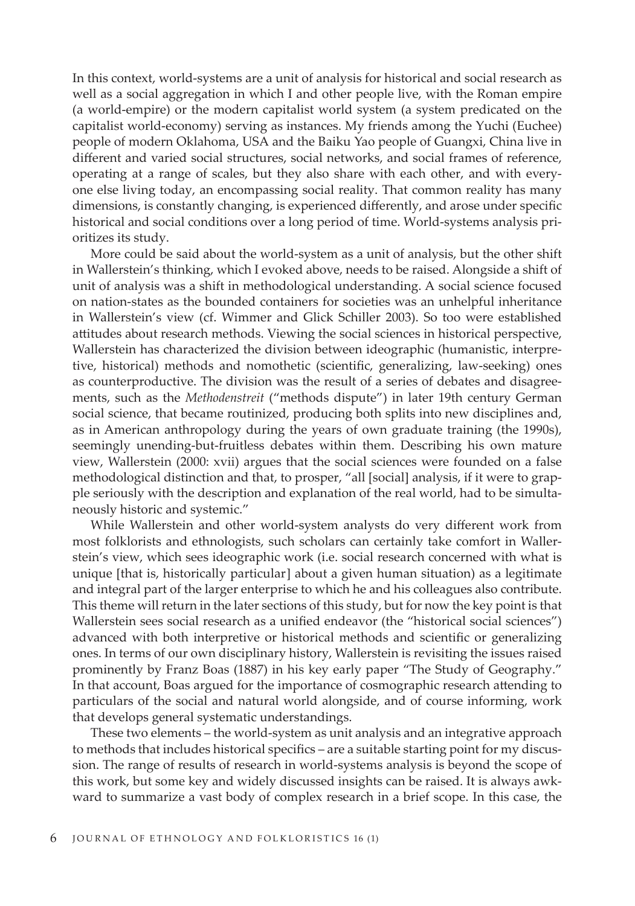In this context, world-systems are a unit of analysis for historical and social research as well as a social aggregation in which I and other people live, with the Roman empire (a world-empire) or the modern capitalist world system (a system predicated on the capitalist world-economy) serving as instances. My friends among the Yuchi (Euchee) people of modern Oklahoma, USA and the Baiku Yao people of Guangxi, China live in different and varied social structures, social networks, and social frames of reference, operating at a range of scales, but they also share with each other, and with everyone else living today, an encompassing social reality. That common reality has many dimensions, is constantly changing, is experienced differently, and arose under specific historical and social conditions over a long period of time. World-systems analysis prioritizes its study.

More could be said about the world-system as a unit of analysis, but the other shift in Wallerstein's thinking, which I evoked above, needs to be raised. Alongside a shift of unit of analysis was a shift in methodological understanding. A social science focused on nation-states as the bounded containers for societies was an unhelpful inheritance in Wallerstein's view (cf. Wimmer and Glick Schiller 2003). So too were established attitudes about research methods. Viewing the social sciences in historical perspective, Wallerstein has characterized the division between ideographic (humanistic, interpretive, historical) methods and nomothetic (scientific, generalizing, law-seeking) ones as counterproductive. The division was the result of a series of debates and disagreements, such as the *Methodenstreit* ("methods dispute") in later 19th century German social science, that became routinized, producing both splits into new disciplines and, as in American anthropology during the years of own graduate training (the 1990s), seemingly unending-but-fruitless debates within them. Describing his own mature view, Wallerstein (2000: xvii) argues that the social sciences were founded on a false methodological distinction and that, to prosper, "all [social] analysis, if it were to grapple seriously with the description and explanation of the real world, had to be simultaneously historic and systemic."

While Wallerstein and other world-system analysts do very different work from most folklorists and ethnologists, such scholars can certainly take comfort in Wallerstein's view, which sees ideographic work (i.e. social research concerned with what is unique [that is, historically particular] about a given human situation) as a legitimate and integral part of the larger enterprise to which he and his colleagues also contribute. This theme will return in the later sections of this study, but for now the key point is that Wallerstein sees social research as a unified endeavor (the "historical social sciences") advanced with both interpretive or historical methods and scientific or generalizing ones. In terms of our own disciplinary history, Wallerstein is revisiting the issues raised prominently by Franz Boas (1887) in his key early paper "The Study of Geography." In that account, Boas argued for the importance of cosmographic research attending to particulars of the social and natural world alongside, and of course informing, work that develops general systematic understandings.

These two elements – the world-system as unit analysis and an integrative approach to methods that includes historical specifics – are a suitable starting point for my discussion. The range of results of research in world-systems analysis is beyond the scope of this work, but some key and widely discussed insights can be raised. It is always awkward to summarize a vast body of complex research in a brief scope. In this case, the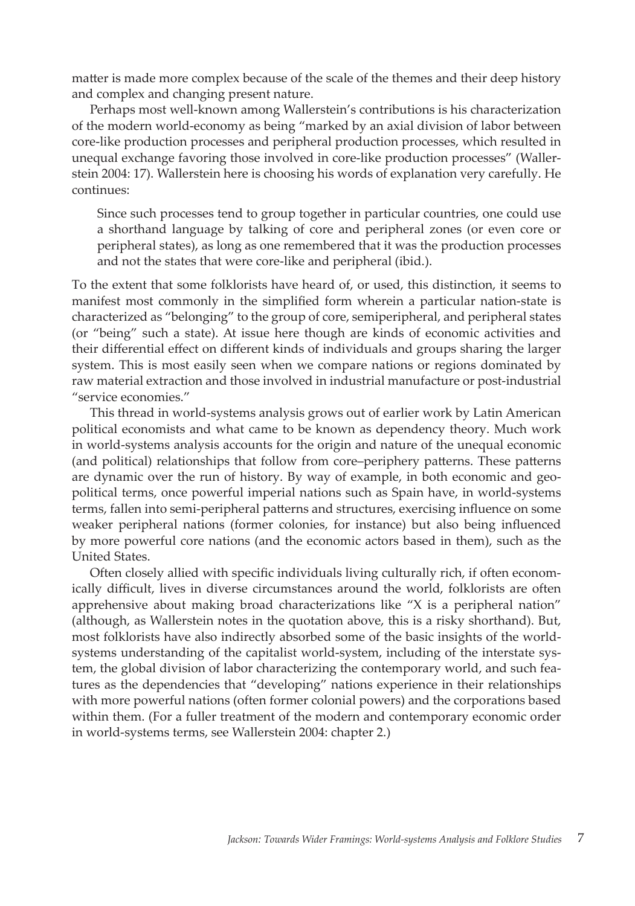matter is made more complex because of the scale of the themes and their deep history and complex and changing present nature.

Perhaps most well-known among Wallerstein's contributions is his characterization of the modern world-economy as being "marked by an axial division of labor between core-like production processes and peripheral production processes, which resulted in unequal exchange favoring those involved in core-like production processes" (Wallerstein 2004: 17). Wallerstein here is choosing his words of explanation very carefully. He continues:

Since such processes tend to group together in particular countries, one could use a shorthand language by talking of core and peripheral zones (or even core or peripheral states), as long as one remembered that it was the production processes and not the states that were core-like and peripheral (ibid.).

To the extent that some folklorists have heard of, or used, this distinction, it seems to manifest most commonly in the simplified form wherein a particular nation-state is characterized as "belonging" to the group of core, semiperipheral, and peripheral states (or "being" such a state). At issue here though are kinds of economic activities and their differential effect on different kinds of individuals and groups sharing the larger system. This is most easily seen when we compare nations or regions dominated by raw material extraction and those involved in industrial manufacture or post-industrial "service economies."

This thread in world-systems analysis grows out of earlier work by Latin American political economists and what came to be known as dependency theory. Much work in world-systems analysis accounts for the origin and nature of the unequal economic (and political) relationships that follow from core–periphery patterns. These patterns are dynamic over the run of history. By way of example, in both economic and geopolitical terms, once powerful imperial nations such as Spain have, in world-systems terms, fallen into semi-peripheral patterns and structures, exercising influence on some weaker peripheral nations (former colonies, for instance) but also being influenced by more powerful core nations (and the economic actors based in them), such as the United States.

Often closely allied with specific individuals living culturally rich, if often economically difficult, lives in diverse circumstances around the world, folklorists are often apprehensive about making broad characterizations like "X is a peripheral nation" (although, as Wallerstein notes in the quotation above, this is a risky shorthand). But, most folklorists have also indirectly absorbed some of the basic insights of the worldsystems understanding of the capitalist world-system, including of the interstate system, the global division of labor characterizing the contemporary world, and such features as the dependencies that "developing" nations experience in their relationships with more powerful nations (often former colonial powers) and the corporations based within them. (For a fuller treatment of the modern and contemporary economic order in world-systems terms, see Wallerstein 2004: chapter 2.)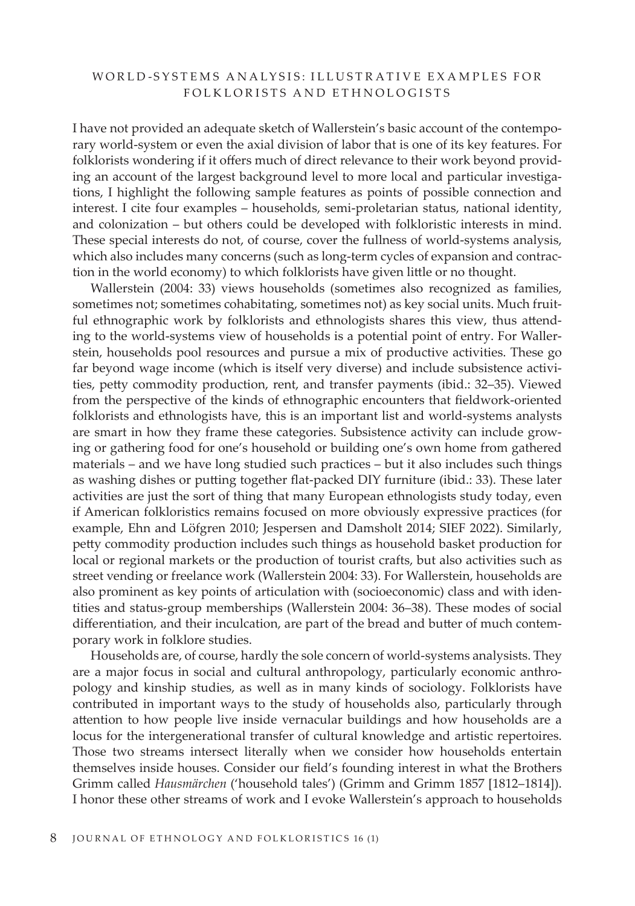# WORLD-SYSTEMS ANALYSIS: ILLUSTRATIVE EXAMPLES FOR FOLKLORISTS AND ETHNOLOGISTS

I have not provided an adequate sketch of Wallerstein's basic account of the contemporary world-system or even the axial division of labor that is one of its key features. For folklorists wondering if it offers much of direct relevance to their work beyond providing an account of the largest background level to more local and particular investigations, I highlight the following sample features as points of possible connection and interest. I cite four examples – households, semi-proletarian status, national identity, and colonization – but others could be developed with folkloristic interests in mind. These special interests do not, of course, cover the fullness of world-systems analysis, which also includes many concerns (such as long-term cycles of expansion and contraction in the world economy) to which folklorists have given little or no thought.

Wallerstein (2004: 33) views households (sometimes also recognized as families, sometimes not; sometimes cohabitating, sometimes not) as key social units. Much fruitful ethnographic work by folklorists and ethnologists shares this view, thus attending to the world-systems view of households is a potential point of entry. For Wallerstein, households pool resources and pursue a mix of productive activities. These go far beyond wage income (which is itself very diverse) and include subsistence activities, petty commodity production, rent, and transfer payments (ibid.: 32–35). Viewed from the perspective of the kinds of ethnographic encounters that fieldwork-oriented folklorists and ethnologists have, this is an important list and world-systems analysts are smart in how they frame these categories. Subsistence activity can include growing or gathering food for one's household or building one's own home from gathered materials – and we have long studied such practices – but it also includes such things as washing dishes or putting together flat-packed DIY furniture (ibid.: 33). These later activities are just the sort of thing that many European ethnologists study today, even if American folkloristics remains focused on more obviously expressive practices (for example, Ehn and Löfgren 2010; Jespersen and Damsholt 2014; SIEF 2022). Similarly, petty commodity production includes such things as household basket production for local or regional markets or the production of tourist crafts, but also activities such as street vending or freelance work (Wallerstein 2004: 33). For Wallerstein, households are also prominent as key points of articulation with (socioeconomic) class and with identities and status-group memberships (Wallerstein 2004: 36–38). These modes of social differentiation, and their inculcation, are part of the bread and butter of much contemporary work in folklore studies.

Households are, of course, hardly the sole concern of world-systems analysists. They are a major focus in social and cultural anthropology, particularly economic anthropology and kinship studies, as well as in many kinds of sociology. Folklorists have contributed in important ways to the study of households also, particularly through attention to how people live inside vernacular buildings and how households are a locus for the intergenerational transfer of cultural knowledge and artistic repertoires. Those two streams intersect literally when we consider how households entertain themselves inside houses. Consider our field's founding interest in what the Brothers Grimm called *Hausmärchen* ('household tales') (Grimm and Grimm 1857 [1812–1814]). I honor these other streams of work and I evoke Wallerstein's approach to households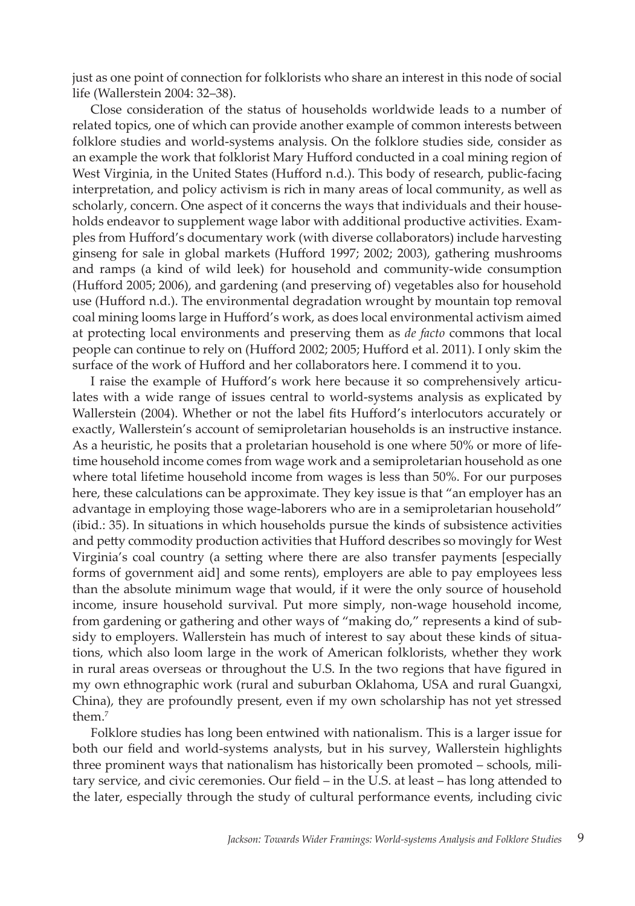just as one point of connection for folklorists who share an interest in this node of social life (Wallerstein 2004: 32–38).

Close consideration of the status of households worldwide leads to a number of related topics, one of which can provide another example of common interests between folklore studies and world-systems analysis. On the folklore studies side, consider as an example the work that folklorist Mary Hufford conducted in a coal mining region of West Virginia, in the United States (Hufford n.d.). This body of research, public-facing interpretation, and policy activism is rich in many areas of local community, as well as scholarly, concern. One aspect of it concerns the ways that individuals and their households endeavor to supplement wage labor with additional productive activities. Examples from Hufford's documentary work (with diverse collaborators) include harvesting ginseng for sale in global markets (Hufford 1997; 2002; 2003), gathering mushrooms and ramps (a kind of wild leek) for household and community-wide consumption (Hufford 2005; 2006), and gardening (and preserving of) vegetables also for household use (Hufford n.d.). The environmental degradation wrought by mountain top removal coal mining looms large in Hufford's work, as does local environmental activism aimed at protecting local environments and preserving them as *de facto* commons that local people can continue to rely on (Hufford 2002; 2005; Hufford et al. 2011). I only skim the surface of the work of Hufford and her collaborators here. I commend it to you.

I raise the example of Hufford's work here because it so comprehensively articulates with a wide range of issues central to world-systems analysis as explicated by Wallerstein (2004). Whether or not the label fits Hufford's interlocutors accurately or exactly, Wallerstein's account of semiproletarian households is an instructive instance. As a heuristic, he posits that a proletarian household is one where 50% or more of lifetime household income comes from wage work and a semiproletarian household as one where total lifetime household income from wages is less than 50%. For our purposes here, these calculations can be approximate. They key issue is that "an employer has an advantage in employing those wage-laborers who are in a semiproletarian household" (ibid.: 35). In situations in which households pursue the kinds of subsistence activities and petty commodity production activities that Hufford describes so movingly for West Virginia's coal country (a setting where there are also transfer payments [especially forms of government aid] and some rents), employers are able to pay employees less than the absolute minimum wage that would, if it were the only source of household income, insure household survival. Put more simply, non-wage household income, from gardening or gathering and other ways of "making do," represents a kind of subsidy to employers. Wallerstein has much of interest to say about these kinds of situations, which also loom large in the work of American folklorists, whether they work in rural areas overseas or throughout the U.S. In the two regions that have figured in my own ethnographic work (rural and suburban Oklahoma, USA and rural Guangxi, China), they are profoundly present, even if my own scholarship has not yet stressed them.7

Folklore studies has long been entwined with nationalism. This is a larger issue for both our field and world-systems analysts, but in his survey, Wallerstein highlights three prominent ways that nationalism has historically been promoted – schools, military service, and civic ceremonies. Our field – in the U.S. at least – has long attended to the later, especially through the study of cultural performance events, including civic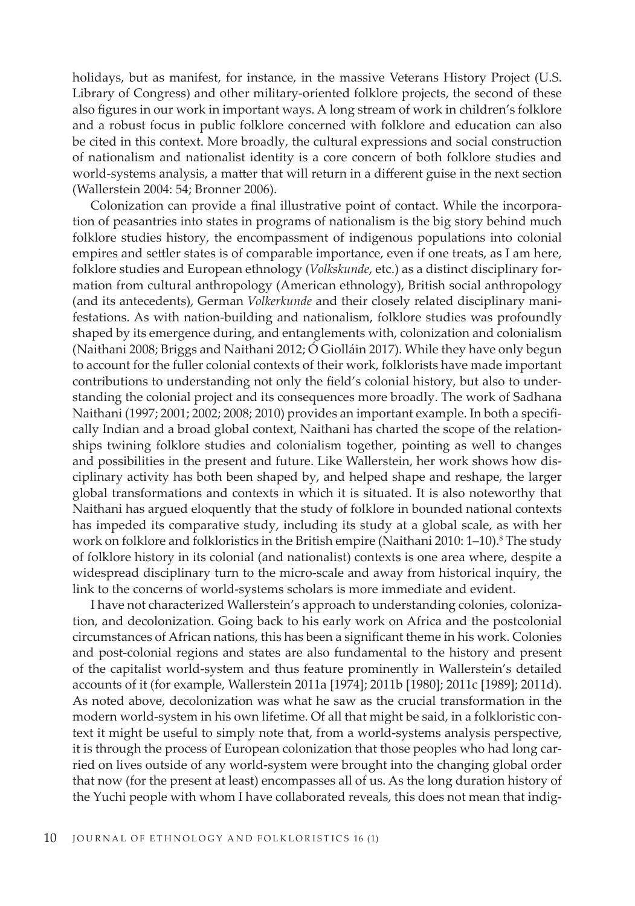holidays, but as manifest, for instance, in the massive Veterans History Project (U.S. Library of Congress) and other military-oriented folklore projects, the second of these also figures in our work in important ways. A long stream of work in children's folklore and a robust focus in public folklore concerned with folklore and education can also be cited in this context. More broadly, the cultural expressions and social construction of nationalism and nationalist identity is a core concern of both folklore studies and world-systems analysis, a matter that will return in a different guise in the next section (Wallerstein 2004: 54; Bronner 2006).

Colonization can provide a final illustrative point of contact. While the incorporation of peasantries into states in programs of nationalism is the big story behind much folklore studies history, the encompassment of indigenous populations into colonial empires and settler states is of comparable importance, even if one treats, as I am here, folklore studies and European ethnology (*Volkskunde*, etc.) as a distinct disciplinary formation from cultural anthropology (American ethnology), British social anthropology (and its antecedents), German *Volkerkunde* and their closely related disciplinary manifestations. As with nation-building and nationalism, folklore studies was profoundly shaped by its emergence during, and entanglements with, colonization and colonialism (Naithani 2008; Briggs and Naithani 2012; Ó Giolláin 2017). While they have only begun to account for the fuller colonial contexts of their work, folklorists have made important contributions to understanding not only the field's colonial history, but also to understanding the colonial project and its consequences more broadly. The work of Sadhana Naithani (1997; 2001; 2002; 2008; 2010) provides an important example. In both a specifically Indian and a broad global context, Naithani has charted the scope of the relationships twining folklore studies and colonialism together, pointing as well to changes and possibilities in the present and future. Like Wallerstein, her work shows how disciplinary activity has both been shaped by, and helped shape and reshape, the larger global transformations and contexts in which it is situated. It is also noteworthy that Naithani has argued eloquently that the study of folklore in bounded national contexts has impeded its comparative study, including its study at a global scale, as with her work on folklore and folkloristics in the British empire (Naithani 2010:  $1-10$ ).<sup>8</sup> The study of folklore history in its colonial (and nationalist) contexts is one area where, despite a widespread disciplinary turn to the micro-scale and away from historical inquiry, the link to the concerns of world-systems scholars is more immediate and evident.

I have not characterized Wallerstein's approach to understanding colonies, colonization, and decolonization. Going back to his early work on Africa and the postcolonial circumstances of African nations, this has been a significant theme in his work. Colonies and post-colonial regions and states are also fundamental to the history and present of the capitalist world-system and thus feature prominently in Wallerstein's detailed accounts of it (for example, Wallerstein 2011a [1974]; 2011b [1980]; 2011c [1989]; 2011d). As noted above, decolonization was what he saw as the crucial transformation in the modern world-system in his own lifetime. Of all that might be said, in a folkloristic context it might be useful to simply note that, from a world-systems analysis perspective, it is through the process of European colonization that those peoples who had long carried on lives outside of any world-system were brought into the changing global order that now (for the present at least) encompasses all of us. As the long duration history of the Yuchi people with whom I have collaborated reveals, this does not mean that indig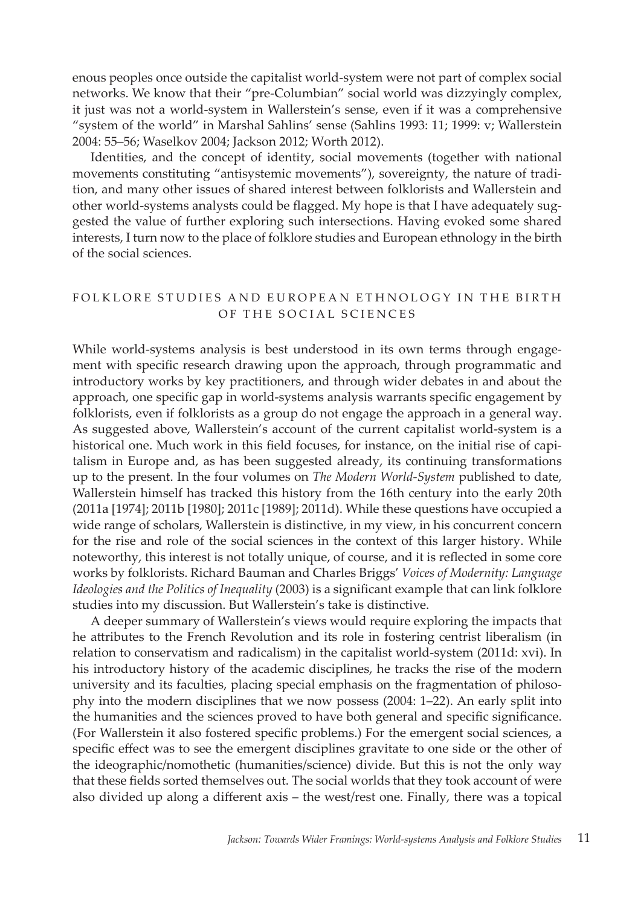enous peoples once outside the capitalist world-system were not part of complex social networks. We know that their "pre-Columbian" social world was dizzyingly complex, it just was not a world-system in Wallerstein's sense, even if it was a comprehensive "system of the world" in Marshal Sahlins' sense (Sahlins 1993: 11; 1999: v; Wallerstein 2004: 55–56; Waselkov 2004; Jackson 2012; Worth 2012).

Identities, and the concept of identity, social movements (together with national movements constituting "antisystemic movements"), sovereignty, the nature of tradition, and many other issues of shared interest between folklorists and Wallerstein and other world-systems analysts could be flagged. My hope is that I have adequately suggested the value of further exploring such intersections. Having evoked some shared interests, I turn now to the place of folklore studies and European ethnology in the birth of the social sciences.

# FOLKLORE STUDIES AND EUROPEAN ETHNOLOGY IN THE BIRTH OF THE SOCIAL SCIENCES

While world-systems analysis is best understood in its own terms through engagement with specific research drawing upon the approach, through programmatic and introductory works by key practitioners, and through wider debates in and about the approach, one specific gap in world-systems analysis warrants specific engagement by folklorists, even if folklorists as a group do not engage the approach in a general way. As suggested above, Wallerstein's account of the current capitalist world-system is a historical one. Much work in this field focuses, for instance, on the initial rise of capitalism in Europe and, as has been suggested already, its continuing transformations up to the present. In the four volumes on *The Modern World-System* published to date, Wallerstein himself has tracked this history from the 16th century into the early 20th (2011a [1974]; 2011b [1980]; 2011c [1989]; 2011d). While these questions have occupied a wide range of scholars, Wallerstein is distinctive, in my view, in his concurrent concern for the rise and role of the social sciences in the context of this larger history. While noteworthy, this interest is not totally unique, of course, and it is reflected in some core works by folklorists. Richard Bauman and Charles Briggs' *Voices of Modernity: Language Ideologies and the Politics of Inequality* (2003) is a significant example that can link folklore studies into my discussion. But Wallerstein's take is distinctive.

A deeper summary of Wallerstein's views would require exploring the impacts that he attributes to the French Revolution and its role in fostering centrist liberalism (in relation to conservatism and radicalism) in the capitalist world-system (2011d: xvi). In his introductory history of the academic disciplines, he tracks the rise of the modern university and its faculties, placing special emphasis on the fragmentation of philosophy into the modern disciplines that we now possess (2004: 1–22). An early split into the humanities and the sciences proved to have both general and specific significance. (For Wallerstein it also fostered specific problems.) For the emergent social sciences, a specific effect was to see the emergent disciplines gravitate to one side or the other of the ideographic/nomothetic (humanities/science) divide. But this is not the only way that these fields sorted themselves out. The social worlds that they took account of were also divided up along a different axis – the west/rest one. Finally, there was a topical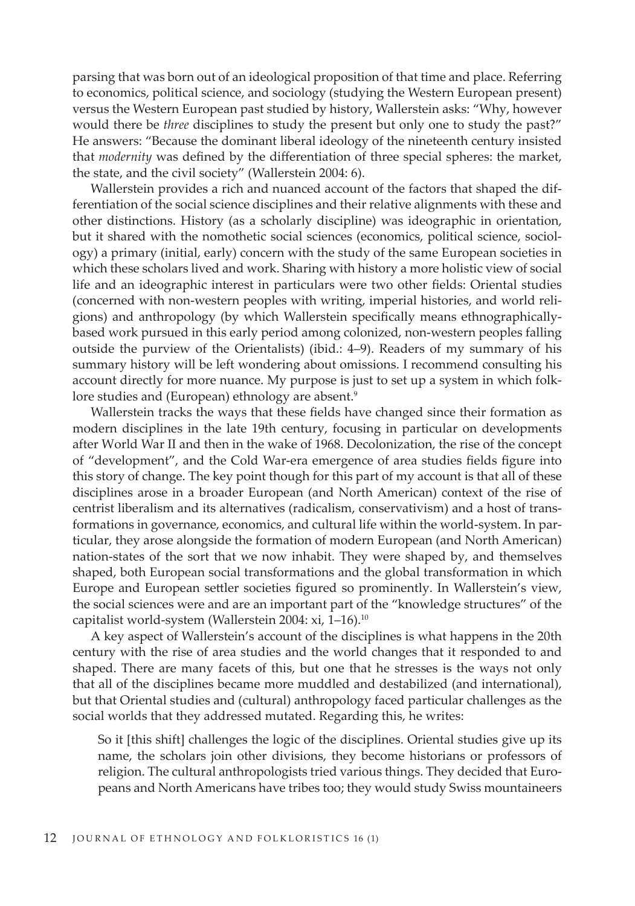parsing that was born out of an ideological proposition of that time and place. Referring to economics, political science, and sociology (studying the Western European present) versus the Western European past studied by history, Wallerstein asks: "Why, however would there be *three* disciplines to study the present but only one to study the past?" He answers: "Because the dominant liberal ideology of the nineteenth century insisted that *modernity* was defined by the differentiation of three special spheres: the market, the state, and the civil society" (Wallerstein 2004: 6).

Wallerstein provides a rich and nuanced account of the factors that shaped the differentiation of the social science disciplines and their relative alignments with these and other distinctions. History (as a scholarly discipline) was ideographic in orientation, but it shared with the nomothetic social sciences (economics, political science, sociology) a primary (initial, early) concern with the study of the same European societies in which these scholars lived and work. Sharing with history a more holistic view of social life and an ideographic interest in particulars were two other fields: Oriental studies (concerned with non-western peoples with writing, imperial histories, and world religions) and anthropology (by which Wallerstein specifically means ethnographicallybased work pursued in this early period among colonized, non-western peoples falling outside the purview of the Orientalists) (ibid.: 4–9). Readers of my summary of his summary history will be left wondering about omissions. I recommend consulting his account directly for more nuance. My purpose is just to set up a system in which folklore studies and (European) ethnology are absent.<sup>9</sup>

Wallerstein tracks the ways that these fields have changed since their formation as modern disciplines in the late 19th century, focusing in particular on developments after World War II and then in the wake of 1968. Decolonization, the rise of the concept of "development", and the Cold War-era emergence of area studies fields figure into this story of change. The key point though for this part of my account is that all of these disciplines arose in a broader European (and North American) context of the rise of centrist liberalism and its alternatives (radicalism, conservativism) and a host of transformations in governance, economics, and cultural life within the world-system. In particular, they arose alongside the formation of modern European (and North American) nation-states of the sort that we now inhabit. They were shaped by, and themselves shaped, both European social transformations and the global transformation in which Europe and European settler societies figured so prominently. In Wallerstein's view, the social sciences were and are an important part of the "knowledge structures" of the capitalist world-system (Wallerstein 2004: xi, 1-16).<sup>10</sup>

A key aspect of Wallerstein's account of the disciplines is what happens in the 20th century with the rise of area studies and the world changes that it responded to and shaped. There are many facets of this, but one that he stresses is the ways not only that all of the disciplines became more muddled and destabilized (and international), but that Oriental studies and (cultural) anthropology faced particular challenges as the social worlds that they addressed mutated. Regarding this, he writes:

So it [this shift] challenges the logic of the disciplines. Oriental studies give up its name, the scholars join other divisions, they become historians or professors of religion. The cultural anthropologists tried various things. They decided that Europeans and North Americans have tribes too; they would study Swiss mountaineers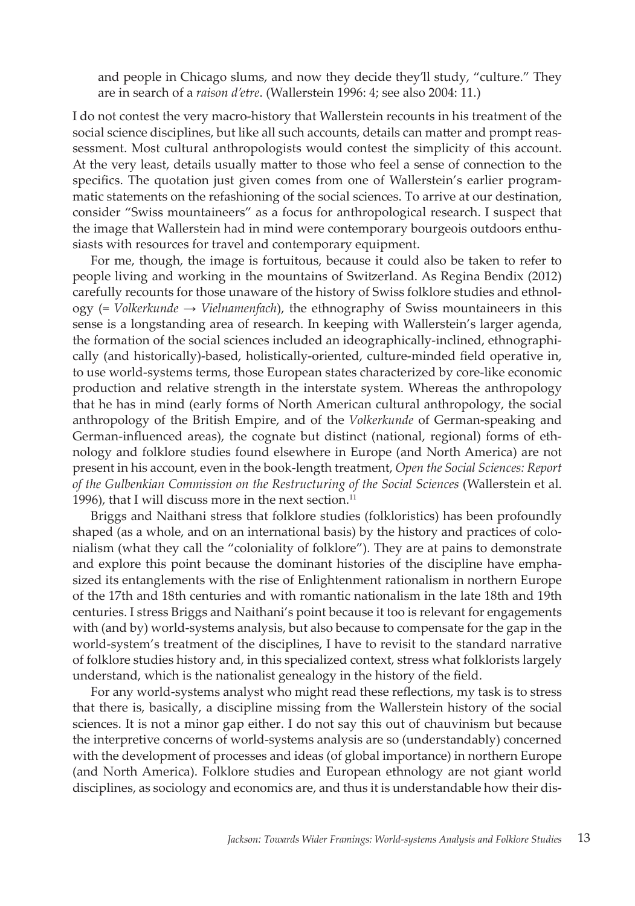and people in Chicago slums, and now they decide they'll study, "culture." They are in search of a *raison d'etre*. (Wallerstein 1996: 4; see also 2004: 11.)

I do not contest the very macro-history that Wallerstein recounts in his treatment of the social science disciplines, but like all such accounts, details can matter and prompt reassessment. Most cultural anthropologists would contest the simplicity of this account. At the very least, details usually matter to those who feel a sense of connection to the specifics. The quotation just given comes from one of Wallerstein's earlier programmatic statements on the refashioning of the social sciences. To arrive at our destination, consider "Swiss mountaineers" as a focus for anthropological research. I suspect that the image that Wallerstein had in mind were contemporary bourgeois outdoors enthusiasts with resources for travel and contemporary equipment.

For me, though, the image is fortuitous, because it could also be taken to refer to people living and working in the mountains of Switzerland. As Regina Bendix (2012) carefully recounts for those unaware of the history of Swiss folklore studies and ethnology (= *Volkerkunde* → *Vielnamenfach*), the ethnography of Swiss mountaineers in this sense is a longstanding area of research. In keeping with Wallerstein's larger agenda, the formation of the social sciences included an ideographically-inclined, ethnographically (and historically)-based, holistically-oriented, culture-minded field operative in, to use world-systems terms, those European states characterized by core-like economic production and relative strength in the interstate system. Whereas the anthropology that he has in mind (early forms of North American cultural anthropology, the social anthropology of the British Empire, and of the *Volkerkunde* of German-speaking and German-influenced areas), the cognate but distinct (national, regional) forms of ethnology and folklore studies found elsewhere in Europe (and North America) are not present in his account, even in the book-length treatment, *Open the Social Sciences: Report of the Gulbenkian Commission on the Restructuring of the Social Sciences* (Wallerstein et al. 1996), that I will discuss more in the next section.<sup>11</sup>

Briggs and Naithani stress that folklore studies (folkloristics) has been profoundly shaped (as a whole, and on an international basis) by the history and practices of colonialism (what they call the "coloniality of folklore"). They are at pains to demonstrate and explore this point because the dominant histories of the discipline have emphasized its entanglements with the rise of Enlightenment rationalism in northern Europe of the 17th and 18th centuries and with romantic nationalism in the late 18th and 19th centuries. I stress Briggs and Naithani's point because it too is relevant for engagements with (and by) world-systems analysis, but also because to compensate for the gap in the world-system's treatment of the disciplines, I have to revisit to the standard narrative of folklore studies history and, in this specialized context, stress what folklorists largely understand, which is the nationalist genealogy in the history of the field.

For any world-systems analyst who might read these reflections, my task is to stress that there is, basically, a discipline missing from the Wallerstein history of the social sciences. It is not a minor gap either. I do not say this out of chauvinism but because the interpretive concerns of world-systems analysis are so (understandably) concerned with the development of processes and ideas (of global importance) in northern Europe (and North America). Folklore studies and European ethnology are not giant world disciplines, as sociology and economics are, and thus it is understandable how their dis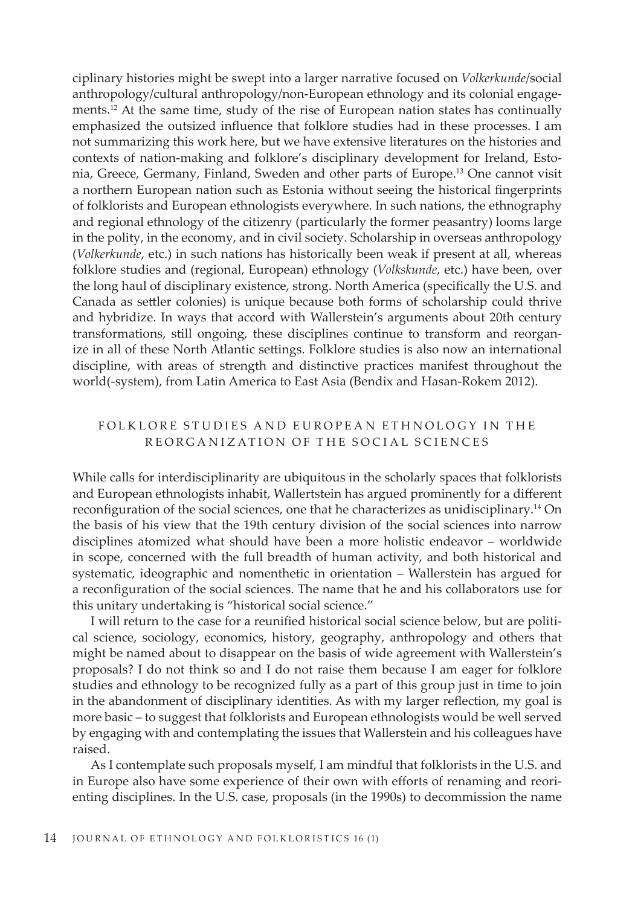ciplinary histories might be swept into a larger narrative focused on *Volkerkunde*/social anthropology/cultural anthropology/non-European ethnology and its colonial engagements.12 At the same time, study of the rise of European nation states has continually emphasized the outsized influence that folklore studies had in these processes. I am not summarizing this work here, but we have extensive literatures on the histories and contexts of nation-making and folklore's disciplinary development for Ireland, Estonia, Greece, Germany, Finland, Sweden and other parts of Europe.13 One cannot visit a northern European nation such as Estonia without seeing the historical fingerprints of folklorists and European ethnologists everywhere. In such nations, the ethnography and regional ethnology of the citizenry (particularly the former peasantry) looms large in the polity, in the economy, and in civil society. Scholarship in overseas anthropology (*Volkerkunde*, etc.) in such nations has historically been weak if present at all, whereas folklore studies and (regional, European) ethnology (*Volkskunde*, etc.) have been, over the long haul of disciplinary existence, strong. North America (specifically the U.S. and Canada as settler colonies) is unique because both forms of scholarship could thrive and hybridize. In ways that accord with Wallerstein's arguments about 20th century transformations, still ongoing, these disciplines continue to transform and reorganize in all of these North Atlantic settings. Folklore studies is also now an international discipline, with areas of strength and distinctive practices manifest throughout the world(-system), from Latin America to East Asia (Bendix and Hasan-Rokem 2012).

# FOLKLORE STUDIES AND EUROPEAN ETHNOLOGY IN THE REORGANIZATION OF THE SOCIAL SCIENCES

While calls for interdisciplinarity are ubiquitous in the scholarly spaces that folklorists and European ethnologists inhabit, Wallertstein has argued prominently for a different reconfiguration of the social sciences, one that he characterizes as unidisciplinary.14 On the basis of his view that the 19th century division of the social sciences into narrow disciplines atomized what should have been a more holistic endeavor – worldwide in scope, concerned with the full breadth of human activity, and both historical and systematic, ideographic and nomenthetic in orientation – Wallerstein has argued for a reconfiguration of the social sciences. The name that he and his collaborators use for this unitary undertaking is "historical social science."

I will return to the case for a reunified historical social science below, but are political science, sociology, economics, history, geography, anthropology and others that might be named about to disappear on the basis of wide agreement with Wallerstein's proposals? I do not think so and I do not raise them because I am eager for folklore studies and ethnology to be recognized fully as a part of this group just in time to join in the abandonment of disciplinary identities. As with my larger reflection, my goal is more basic – to suggest that folklorists and European ethnologists would be well served by engaging with and contemplating the issues that Wallerstein and his colleagues have raised.

As I contemplate such proposals myself, I am mindful that folklorists in the U.S. and in Europe also have some experience of their own with efforts of renaming and reorienting disciplines. In the U.S. case, proposals (in the 1990s) to decommission the name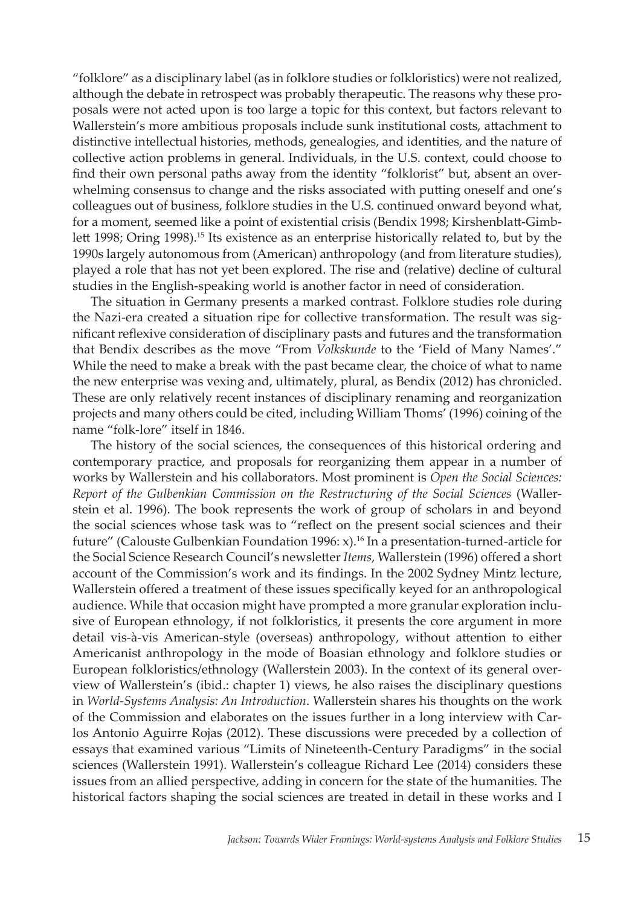"folklore" as a disciplinary label (as in folklore studies or folkloristics) were not realized, although the debate in retrospect was probably therapeutic. The reasons why these proposals were not acted upon is too large a topic for this context, but factors relevant to Wallerstein's more ambitious proposals include sunk institutional costs, attachment to distinctive intellectual histories, methods, genealogies, and identities, and the nature of collective action problems in general. Individuals, in the U.S. context, could choose to find their own personal paths away from the identity "folklorist" but, absent an overwhelming consensus to change and the risks associated with putting oneself and one's colleagues out of business, folklore studies in the U.S. continued onward beyond what, for a moment, seemed like a point of existential crisis (Bendix 1998; Kirshenblatt-Gimblett 1998; Oring 1998).15 Its existence as an enterprise historically related to, but by the 1990s largely autonomous from (American) anthropology (and from literature studies), played a role that has not yet been explored. The rise and (relative) decline of cultural studies in the English-speaking world is another factor in need of consideration.

The situation in Germany presents a marked contrast. Folklore studies role during the Nazi-era created a situation ripe for collective transformation. The result was significant reflexive consideration of disciplinary pasts and futures and the transformation that Bendix describes as the move "From *Volkskunde* to the 'Field of Many Names'." While the need to make a break with the past became clear, the choice of what to name the new enterprise was vexing and, ultimately, plural, as Bendix (2012) has chronicled. These are only relatively recent instances of disciplinary renaming and reorganization projects and many others could be cited, including William Thoms' (1996) coining of the name "folk-lore" itself in 1846.

The history of the social sciences, the consequences of this historical ordering and contemporary practice, and proposals for reorganizing them appear in a number of works by Wallerstein and his collaborators. Most prominent is *Open the Social Sciences: Report of the Gulbenkian Commission on the Restructuring of the Social Sciences* (Wallerstein et al. 1996). The book represents the work of group of scholars in and beyond the social sciences whose task was to "reflect on the present social sciences and their future" (Calouste Gulbenkian Foundation 1996: x).16 In a presentation-turned-article for the Social Science Research Council's newsletter *Items*, Wallerstein (1996) offered a short account of the Commission's work and its findings. In the 2002 Sydney Mintz lecture, Wallerstein offered a treatment of these issues specifically keyed for an anthropological audience. While that occasion might have prompted a more granular exploration inclusive of European ethnology, if not folkloristics, it presents the core argument in more detail vis-à-vis American-style (overseas) anthropology, without attention to either Americanist anthropology in the mode of Boasian ethnology and folklore studies or European folkloristics/ethnology (Wallerstein 2003). In the context of its general overview of Wallerstein's (ibid.: chapter 1) views, he also raises the disciplinary questions in *World-Systems Analysis: An Introduction*. Wallerstein shares his thoughts on the work of the Commission and elaborates on the issues further in a long interview with Carlos Antonio Aguirre Rojas (2012). These discussions were preceded by a collection of essays that examined various "Limits of Nineteenth-Century Paradigms" in the social sciences (Wallerstein 1991). Wallerstein's colleague Richard Lee (2014) considers these issues from an allied perspective, adding in concern for the state of the humanities. The historical factors shaping the social sciences are treated in detail in these works and I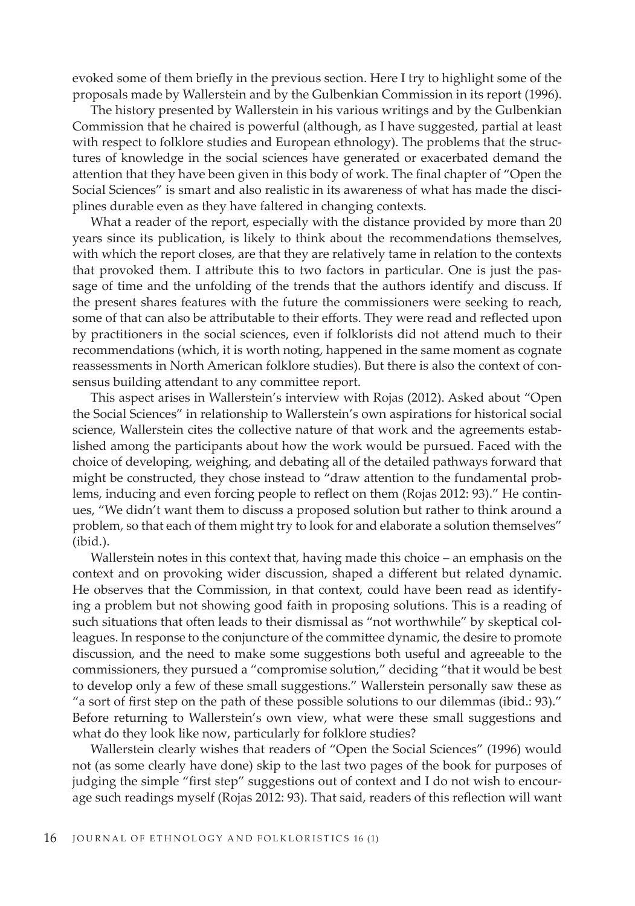evoked some of them briefly in the previous section. Here I try to highlight some of the proposals made by Wallerstein and by the Gulbenkian Commission in its report (1996).

The history presented by Wallerstein in his various writings and by the Gulbenkian Commission that he chaired is powerful (although, as I have suggested, partial at least with respect to folklore studies and European ethnology). The problems that the structures of knowledge in the social sciences have generated or exacerbated demand the attention that they have been given in this body of work. The final chapter of "Open the Social Sciences" is smart and also realistic in its awareness of what has made the disciplines durable even as they have faltered in changing contexts.

What a reader of the report, especially with the distance provided by more than 20 years since its publication, is likely to think about the recommendations themselves, with which the report closes, are that they are relatively tame in relation to the contexts that provoked them. I attribute this to two factors in particular. One is just the passage of time and the unfolding of the trends that the authors identify and discuss. If the present shares features with the future the commissioners were seeking to reach, some of that can also be attributable to their efforts. They were read and reflected upon by practitioners in the social sciences, even if folklorists did not attend much to their recommendations (which, it is worth noting, happened in the same moment as cognate reassessments in North American folklore studies). But there is also the context of consensus building attendant to any committee report.

This aspect arises in Wallerstein's interview with Rojas (2012). Asked about "Open the Social Sciences" in relationship to Wallerstein's own aspirations for historical social science, Wallerstein cites the collective nature of that work and the agreements established among the participants about how the work would be pursued. Faced with the choice of developing, weighing, and debating all of the detailed pathways forward that might be constructed, they chose instead to "draw attention to the fundamental problems, inducing and even forcing people to reflect on them (Rojas 2012: 93)." He continues, "We didn't want them to discuss a proposed solution but rather to think around a problem, so that each of them might try to look for and elaborate a solution themselves" (ibid.).

Wallerstein notes in this context that, having made this choice – an emphasis on the context and on provoking wider discussion, shaped a different but related dynamic. He observes that the Commission, in that context, could have been read as identifying a problem but not showing good faith in proposing solutions. This is a reading of such situations that often leads to their dismissal as "not worthwhile" by skeptical colleagues. In response to the conjuncture of the committee dynamic, the desire to promote discussion, and the need to make some suggestions both useful and agreeable to the commissioners, they pursued a "compromise solution," deciding "that it would be best to develop only a few of these small suggestions." Wallerstein personally saw these as "a sort of first step on the path of these possible solutions to our dilemmas (ibid.: 93)." Before returning to Wallerstein's own view, what were these small suggestions and what do they look like now, particularly for folklore studies?

Wallerstein clearly wishes that readers of "Open the Social Sciences" (1996) would not (as some clearly have done) skip to the last two pages of the book for purposes of judging the simple "first step" suggestions out of context and I do not wish to encourage such readings myself (Rojas 2012: 93). That said, readers of this reflection will want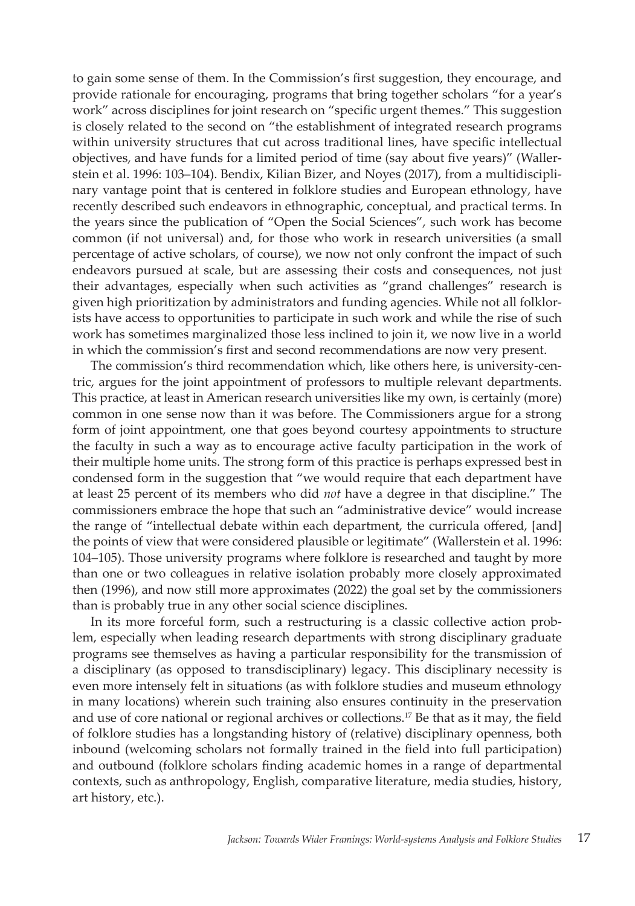to gain some sense of them. In the Commission's first suggestion, they encourage, and provide rationale for encouraging, programs that bring together scholars "for a year's work" across disciplines for joint research on "specific urgent themes." This suggestion is closely related to the second on "the establishment of integrated research programs within university structures that cut across traditional lines, have specific intellectual objectives, and have funds for a limited period of time (say about five years)" (Wallerstein et al. 1996: 103–104). Bendix, Kilian Bizer, and Noyes (2017), from a multidisciplinary vantage point that is centered in folklore studies and European ethnology, have recently described such endeavors in ethnographic, conceptual, and practical terms. In the years since the publication of "Open the Social Sciences", such work has become common (if not universal) and, for those who work in research universities (a small percentage of active scholars, of course), we now not only confront the impact of such endeavors pursued at scale, but are assessing their costs and consequences, not just their advantages, especially when such activities as "grand challenges" research is given high prioritization by administrators and funding agencies. While not all folklorists have access to opportunities to participate in such work and while the rise of such work has sometimes marginalized those less inclined to join it, we now live in a world in which the commission's first and second recommendations are now very present.

The commission's third recommendation which, like others here, is university-centric, argues for the joint appointment of professors to multiple relevant departments. This practice, at least in American research universities like my own, is certainly (more) common in one sense now than it was before. The Commissioners argue for a strong form of joint appointment, one that goes beyond courtesy appointments to structure the faculty in such a way as to encourage active faculty participation in the work of their multiple home units. The strong form of this practice is perhaps expressed best in condensed form in the suggestion that "we would require that each department have at least 25 percent of its members who did *not* have a degree in that discipline." The commissioners embrace the hope that such an "administrative device" would increase the range of "intellectual debate within each department, the curricula offered, [and] the points of view that were considered plausible or legitimate" (Wallerstein et al. 1996: 104–105). Those university programs where folklore is researched and taught by more than one or two colleagues in relative isolation probably more closely approximated then (1996), and now still more approximates (2022) the goal set by the commissioners than is probably true in any other social science disciplines.

In its more forceful form, such a restructuring is a classic collective action problem, especially when leading research departments with strong disciplinary graduate programs see themselves as having a particular responsibility for the transmission of a disciplinary (as opposed to transdisciplinary) legacy. This disciplinary necessity is even more intensely felt in situations (as with folklore studies and museum ethnology in many locations) wherein such training also ensures continuity in the preservation and use of core national or regional archives or collections.17 Be that as it may, the field of folklore studies has a longstanding history of (relative) disciplinary openness, both inbound (welcoming scholars not formally trained in the field into full participation) and outbound (folklore scholars finding academic homes in a range of departmental contexts, such as anthropology, English, comparative literature, media studies, history, art history, etc.).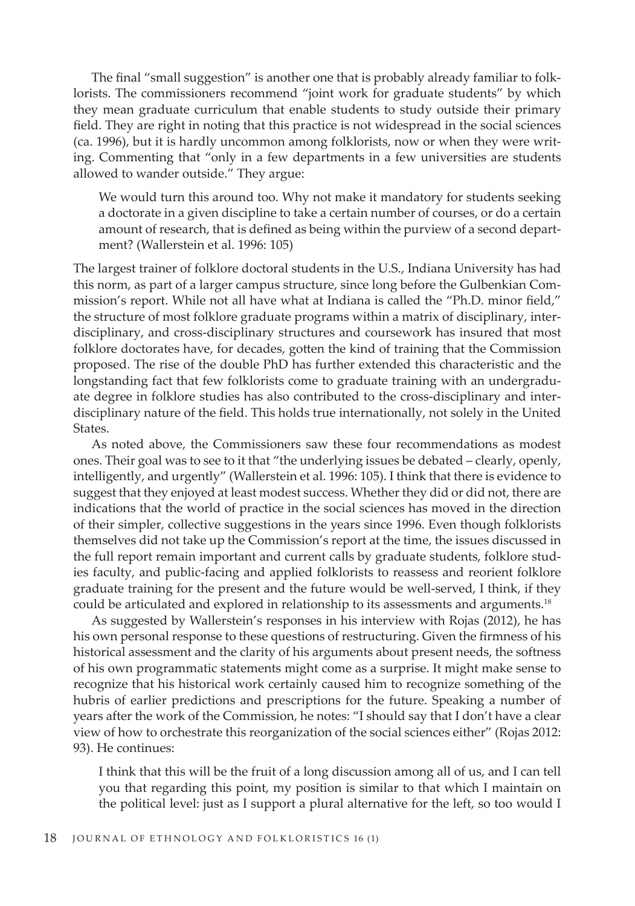The final "small suggestion" is another one that is probably already familiar to folklorists. The commissioners recommend "joint work for graduate students" by which they mean graduate curriculum that enable students to study outside their primary field. They are right in noting that this practice is not widespread in the social sciences (ca. 1996), but it is hardly uncommon among folklorists, now or when they were writing. Commenting that "only in a few departments in a few universities are students allowed to wander outside." They argue:

We would turn this around too. Why not make it mandatory for students seeking a doctorate in a given discipline to take a certain number of courses, or do a certain amount of research, that is defined as being within the purview of a second department? (Wallerstein et al. 1996: 105)

The largest trainer of folklore doctoral students in the U.S., Indiana University has had this norm, as part of a larger campus structure, since long before the Gulbenkian Commission's report. While not all have what at Indiana is called the "Ph.D. minor field," the structure of most folklore graduate programs within a matrix of disciplinary, interdisciplinary, and cross-disciplinary structures and coursework has insured that most folklore doctorates have, for decades, gotten the kind of training that the Commission proposed. The rise of the double PhD has further extended this characteristic and the longstanding fact that few folklorists come to graduate training with an undergraduate degree in folklore studies has also contributed to the cross-disciplinary and interdisciplinary nature of the field. This holds true internationally, not solely in the United States.

As noted above, the Commissioners saw these four recommendations as modest ones. Their goal was to see to it that "the underlying issues be debated – clearly, openly, intelligently, and urgently" (Wallerstein et al. 1996: 105). I think that there is evidence to suggest that they enjoyed at least modest success. Whether they did or did not, there are indications that the world of practice in the social sciences has moved in the direction of their simpler, collective suggestions in the years since 1996. Even though folklorists themselves did not take up the Commission's report at the time, the issues discussed in the full report remain important and current calls by graduate students, folklore studies faculty, and public-facing and applied folklorists to reassess and reorient folklore graduate training for the present and the future would be well-served, I think, if they could be articulated and explored in relationship to its assessments and arguments.18

As suggested by Wallerstein's responses in his interview with Rojas (2012), he has his own personal response to these questions of restructuring. Given the firmness of his historical assessment and the clarity of his arguments about present needs, the softness of his own programmatic statements might come as a surprise. It might make sense to recognize that his historical work certainly caused him to recognize something of the hubris of earlier predictions and prescriptions for the future. Speaking a number of years after the work of the Commission, he notes: "I should say that I don't have a clear view of how to orchestrate this reorganization of the social sciences either" (Rojas 2012: 93). He continues:

I think that this will be the fruit of a long discussion among all of us, and I can tell you that regarding this point, my position is similar to that which I maintain on the political level: just as I support a plural alternative for the left, so too would I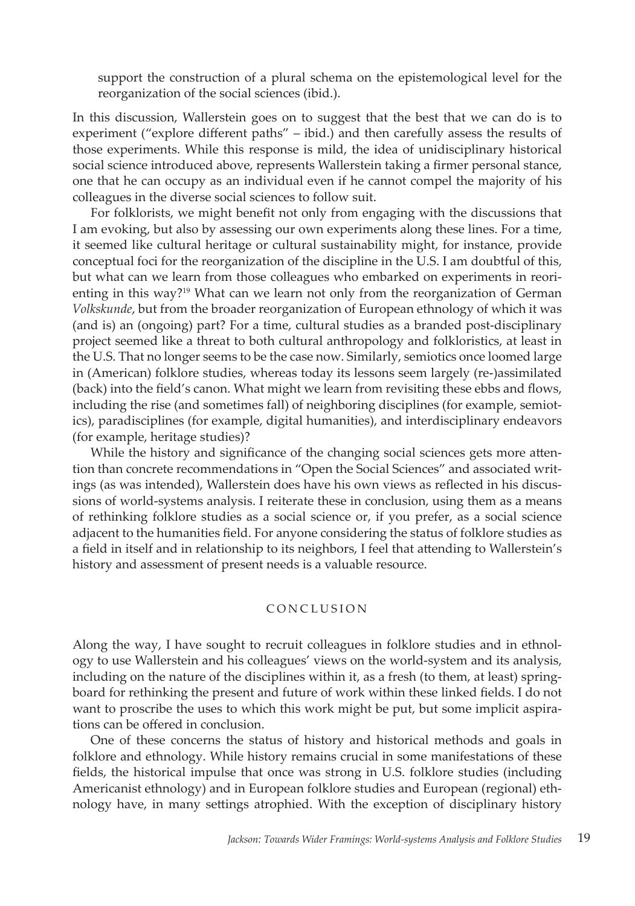support the construction of a plural schema on the epistemological level for the reorganization of the social sciences (ibid.).

In this discussion, Wallerstein goes on to suggest that the best that we can do is to experiment ("explore different paths" – ibid.) and then carefully assess the results of those experiments. While this response is mild, the idea of unidisciplinary historical social science introduced above, represents Wallerstein taking a firmer personal stance, one that he can occupy as an individual even if he cannot compel the majority of his colleagues in the diverse social sciences to follow suit.

For folklorists, we might benefit not only from engaging with the discussions that I am evoking, but also by assessing our own experiments along these lines. For a time, it seemed like cultural heritage or cultural sustainability might, for instance, provide conceptual foci for the reorganization of the discipline in the U.S. I am doubtful of this, but what can we learn from those colleagues who embarked on experiments in reorienting in this way?<sup>19</sup> What can we learn not only from the reorganization of German *Volkskunde*, but from the broader reorganization of European ethnology of which it was (and is) an (ongoing) part? For a time, cultural studies as a branded post-disciplinary project seemed like a threat to both cultural anthropology and folkloristics, at least in the U.S. That no longer seems to be the case now. Similarly, semiotics once loomed large in (American) folklore studies, whereas today its lessons seem largely (re-)assimilated (back) into the field's canon. What might we learn from revisiting these ebbs and flows, including the rise (and sometimes fall) of neighboring disciplines (for example, semiotics), paradisciplines (for example, digital humanities), and interdisciplinary endeavors (for example, heritage studies)?

While the history and significance of the changing social sciences gets more attention than concrete recommendations in "Open the Social Sciences" and associated writings (as was intended), Wallerstein does have his own views as reflected in his discussions of world-systems analysis. I reiterate these in conclusion, using them as a means of rethinking folklore studies as a social science or, if you prefer, as a social science adjacent to the humanities field. For anyone considering the status of folklore studies as a field in itself and in relationship to its neighbors, I feel that attending to Wallerstein's history and assessment of present needs is a valuable resource.

#### CONCLUSION

Along the way, I have sought to recruit colleagues in folklore studies and in ethnology to use Wallerstein and his colleagues' views on the world-system and its analysis, including on the nature of the disciplines within it, as a fresh (to them, at least) springboard for rethinking the present and future of work within these linked fields. I do not want to proscribe the uses to which this work might be put, but some implicit aspirations can be offered in conclusion.

One of these concerns the status of history and historical methods and goals in folklore and ethnology. While history remains crucial in some manifestations of these fields, the historical impulse that once was strong in U.S. folklore studies (including Americanist ethnology) and in European folklore studies and European (regional) ethnology have, in many settings atrophied. With the exception of disciplinary history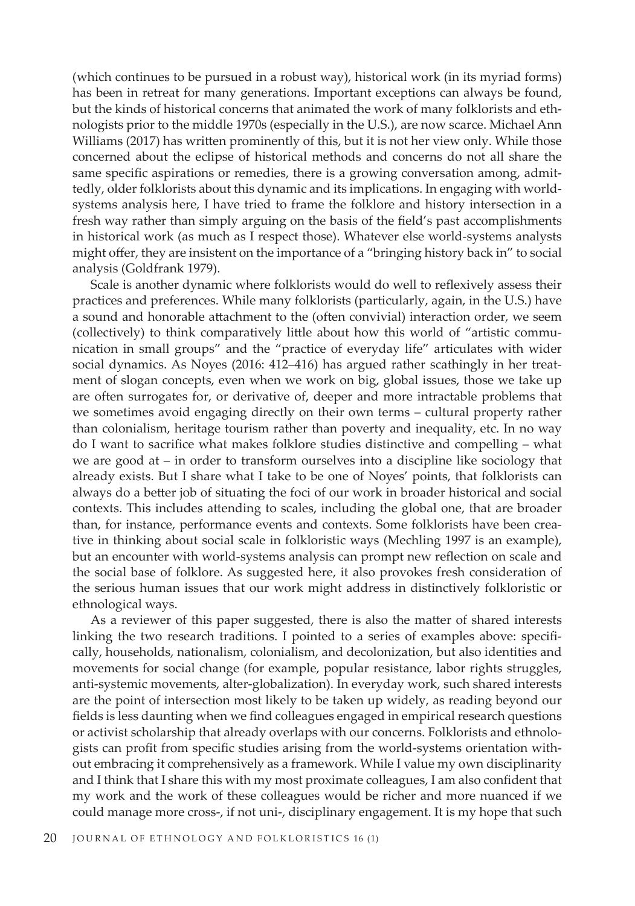(which continues to be pursued in a robust way), historical work (in its myriad forms) has been in retreat for many generations. Important exceptions can always be found, but the kinds of historical concerns that animated the work of many folklorists and ethnologists prior to the middle 1970s (especially in the U.S.), are now scarce. Michael Ann Williams (2017) has written prominently of this, but it is not her view only. While those concerned about the eclipse of historical methods and concerns do not all share the same specific aspirations or remedies, there is a growing conversation among, admittedly, older folklorists about this dynamic and its implications. In engaging with worldsystems analysis here, I have tried to frame the folklore and history intersection in a fresh way rather than simply arguing on the basis of the field's past accomplishments in historical work (as much as I respect those). Whatever else world-systems analysts might offer, they are insistent on the importance of a "bringing history back in" to social analysis (Goldfrank 1979).

Scale is another dynamic where folklorists would do well to reflexively assess their practices and preferences. While many folklorists (particularly, again, in the U.S.) have a sound and honorable attachment to the (often convivial) interaction order, we seem (collectively) to think comparatively little about how this world of "artistic communication in small groups" and the "practice of everyday life" articulates with wider social dynamics. As Noyes (2016: 412–416) has argued rather scathingly in her treatment of slogan concepts, even when we work on big, global issues, those we take up are often surrogates for, or derivative of, deeper and more intractable problems that we sometimes avoid engaging directly on their own terms – cultural property rather than colonialism, heritage tourism rather than poverty and inequality, etc. In no way do I want to sacrifice what makes folklore studies distinctive and compelling – what we are good at – in order to transform ourselves into a discipline like sociology that already exists. But I share what I take to be one of Noyes' points, that folklorists can always do a better job of situating the foci of our work in broader historical and social contexts. This includes attending to scales, including the global one, that are broader than, for instance, performance events and contexts. Some folklorists have been creative in thinking about social scale in folkloristic ways (Mechling 1997 is an example), but an encounter with world-systems analysis can prompt new reflection on scale and the social base of folklore. As suggested here, it also provokes fresh consideration of the serious human issues that our work might address in distinctively folkloristic or ethnological ways.

As a reviewer of this paper suggested, there is also the matter of shared interests linking the two research traditions. I pointed to a series of examples above: specifically, households, nationalism, colonialism, and decolonization, but also identities and movements for social change (for example, popular resistance, labor rights struggles, anti-systemic movements, alter-globalization). In everyday work, such shared interests are the point of intersection most likely to be taken up widely, as reading beyond our fields is less daunting when we find colleagues engaged in empirical research questions or activist scholarship that already overlaps with our concerns. Folklorists and ethnologists can profit from specific studies arising from the world-systems orientation without embracing it comprehensively as a framework. While I value my own disciplinarity and I think that I share this with my most proximate colleagues, I am also confident that my work and the work of these colleagues would be richer and more nuanced if we could manage more cross-, if not uni-, disciplinary engagement. It is my hope that such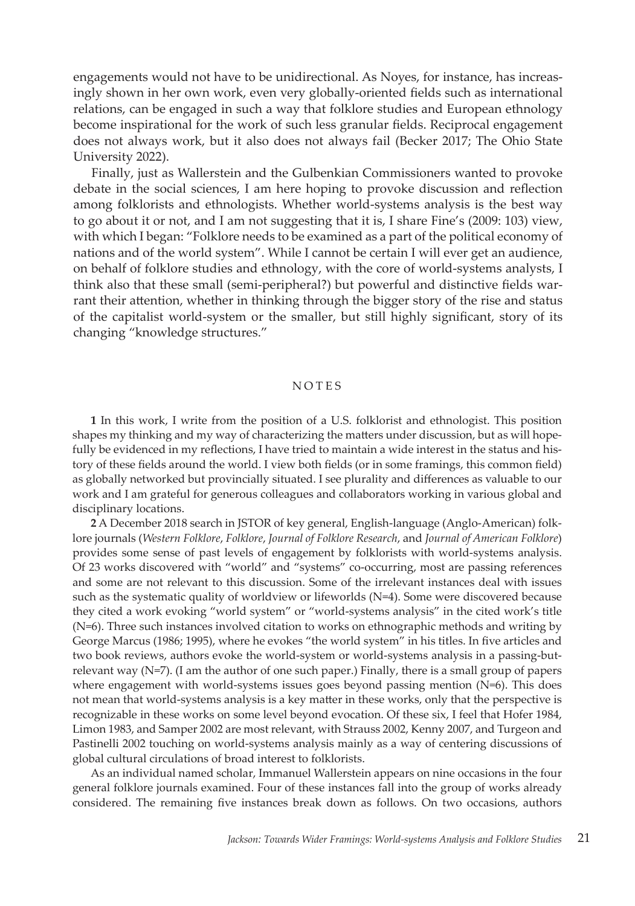engagements would not have to be unidirectional. As Noyes, for instance, has increasingly shown in her own work, even very globally-oriented fields such as international relations, can be engaged in such a way that folklore studies and European ethnology become inspirational for the work of such less granular fields. Reciprocal engagement does not always work, but it also does not always fail (Becker 2017; The Ohio State University 2022).

Finally, just as Wallerstein and the Gulbenkian Commissioners wanted to provoke debate in the social sciences, I am here hoping to provoke discussion and reflection among folklorists and ethnologists. Whether world-systems analysis is the best way to go about it or not, and I am not suggesting that it is, I share Fine's (2009: 103) view, with which I began: "Folklore needs to be examined as a part of the political economy of nations and of the world system". While I cannot be certain I will ever get an audience, on behalf of folklore studies and ethnology, with the core of world-systems analysts, I think also that these small (semi-peripheral?) but powerful and distinctive fields warrant their attention, whether in thinking through the bigger story of the rise and status of the capitalist world-system or the smaller, but still highly significant, story of its changing "knowledge structures."

## NOTES

**1** In this work, I write from the position of a U.S. folklorist and ethnologist. This position shapes my thinking and my way of characterizing the matters under discussion, but as will hopefully be evidenced in my reflections, I have tried to maintain a wide interest in the status and history of these fields around the world. I view both fields (or in some framings, this common field) as globally networked but provincially situated. I see plurality and differences as valuable to our work and I am grateful for generous colleagues and collaborators working in various global and disciplinary locations.

**2** A December 2018 search in JSTOR of key general, English-language (Anglo-American) folklore journals (*Western Folklore*, *Folklore*, *Journal of Folklore Research*, and *Journal of American Folklore*) provides some sense of past levels of engagement by folklorists with world-systems analysis. Of 23 works discovered with "world" and "systems" co-occurring, most are passing references and some are not relevant to this discussion. Some of the irrelevant instances deal with issues such as the systematic quality of worldview or lifeworlds (N=4). Some were discovered because they cited a work evoking "world system" or "world-systems analysis" in the cited work's title (N=6). Three such instances involved citation to works on ethnographic methods and writing by George Marcus (1986; 1995), where he evokes "the world system" in his titles. In five articles and two book reviews, authors evoke the world-system or world-systems analysis in a passing-butrelevant way  $(N=7)$ . (I am the author of one such paper.) Finally, there is a small group of papers where engagement with world-systems issues goes beyond passing mention (N=6). This does not mean that world-systems analysis is a key matter in these works, only that the perspective is recognizable in these works on some level beyond evocation. Of these six, I feel that Hofer 1984, Limon 1983, and Samper 2002 are most relevant, with Strauss 2002, Kenny 2007, and Turgeon and Pastinelli 2002 touching on world-systems analysis mainly as a way of centering discussions of global cultural circulations of broad interest to folklorists.

As an individual named scholar, Immanuel Wallerstein appears on nine occasions in the four general folklore journals examined. Four of these instances fall into the group of works already considered. The remaining five instances break down as follows. On two occasions, authors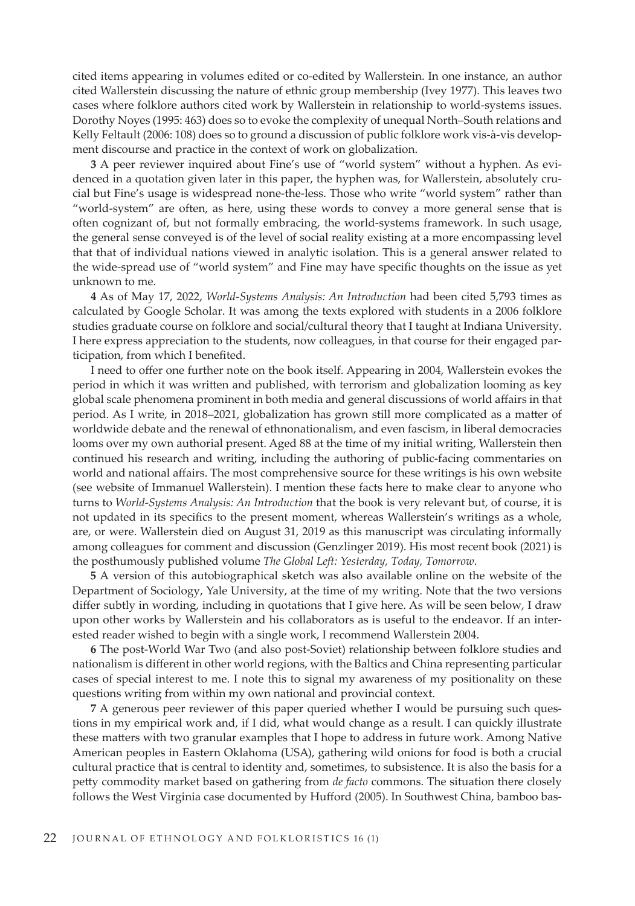cited items appearing in volumes edited or co-edited by Wallerstein. In one instance, an author cited Wallerstein discussing the nature of ethnic group membership (Ivey 1977). This leaves two cases where folklore authors cited work by Wallerstein in relationship to world-systems issues. Dorothy Noyes (1995: 463) does so to evoke the complexity of unequal North–South relations and Kelly Feltault (2006: 108) does so to ground a discussion of public folklore work vis-à-vis development discourse and practice in the context of work on globalization.

**3** A peer reviewer inquired about Fine's use of "world system" without a hyphen. As evidenced in a quotation given later in this paper, the hyphen was, for Wallerstein, absolutely crucial but Fine's usage is widespread none-the-less. Those who write "world system" rather than "world-system" are often, as here, using these words to convey a more general sense that is often cognizant of, but not formally embracing, the world-systems framework. In such usage, the general sense conveyed is of the level of social reality existing at a more encompassing level that that of individual nations viewed in analytic isolation. This is a general answer related to the wide-spread use of "world system" and Fine may have specific thoughts on the issue as yet unknown to me.

**4** As of May 17, 2022, *World-Systems Analysis: An Introduction* had been cited 5,793 times as calculated by Google Scholar. It was among the texts explored with students in a 2006 folklore studies graduate course on folklore and social/cultural theory that I taught at Indiana University. I here express appreciation to the students, now colleagues, in that course for their engaged participation, from which I benefited.

I need to offer one further note on the book itself. Appearing in 2004, Wallerstein evokes the period in which it was written and published, with terrorism and globalization looming as key global scale phenomena prominent in both media and general discussions of world affairs in that period. As I write, in 2018–2021, globalization has grown still more complicated as a matter of worldwide debate and the renewal of ethnonationalism, and even fascism, in liberal democracies looms over my own authorial present. Aged 88 at the time of my initial writing, Wallerstein then continued his research and writing, including the authoring of public-facing commentaries on world and national affairs. The most comprehensive source for these writings is his own website (see website of Immanuel Wallerstein). I mention these facts here to make clear to anyone who turns to *World-Systems Analysis: An Introduction* that the book is very relevant but, of course, it is not updated in its specifics to the present moment, whereas Wallerstein's writings as a whole, are, or were. Wallerstein died on August 31, 2019 as this manuscript was circulating informally among colleagues for comment and discussion (Genzlinger 2019). His most recent book (2021) is the posthumously published volume *The Global Left: Yesterday, Today, Tomorrow*.

**5** A version of this autobiographical sketch was also available online on the website of the Department of Sociology, Yale University, at the time of my writing. Note that the two versions differ subtly in wording, including in quotations that I give here. As will be seen below, I draw upon other works by Wallerstein and his collaborators as is useful to the endeavor. If an interested reader wished to begin with a single work, I recommend Wallerstein 2004.

**6** The post-World War Two (and also post-Soviet) relationship between folklore studies and nationalism is different in other world regions, with the Baltics and China representing particular cases of special interest to me. I note this to signal my awareness of my positionality on these questions writing from within my own national and provincial context.

**7** A generous peer reviewer of this paper queried whether I would be pursuing such questions in my empirical work and, if I did, what would change as a result. I can quickly illustrate these matters with two granular examples that I hope to address in future work. Among Native American peoples in Eastern Oklahoma (USA), gathering wild onions for food is both a crucial cultural practice that is central to identity and, sometimes, to subsistence. It is also the basis for a petty commodity market based on gathering from *de facto* commons. The situation there closely follows the West Virginia case documented by Hufford (2005). In Southwest China, bamboo bas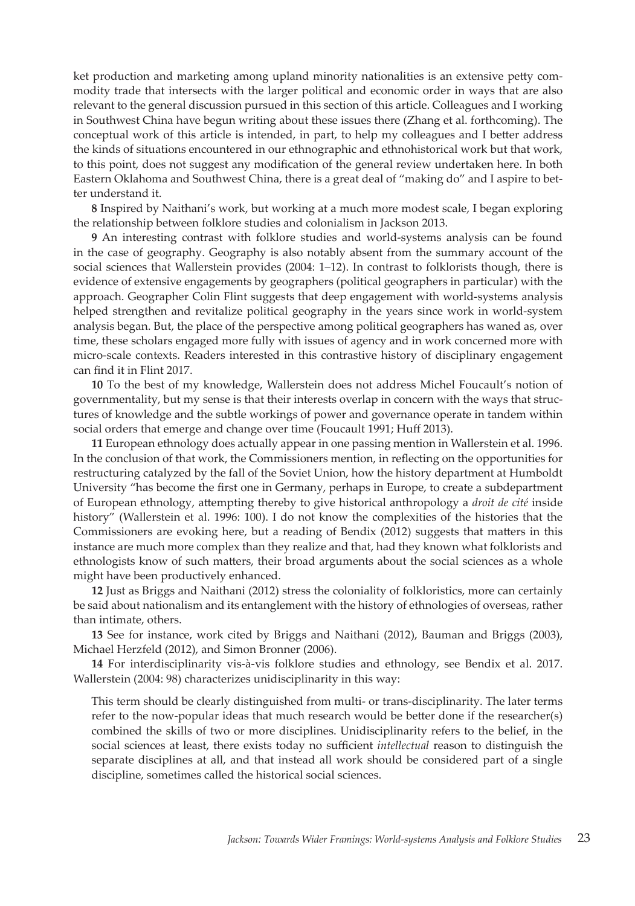ket production and marketing among upland minority nationalities is an extensive petty commodity trade that intersects with the larger political and economic order in ways that are also relevant to the general discussion pursued in this section of this article. Colleagues and I working in Southwest China have begun writing about these issues there (Zhang et al. forthcoming). The conceptual work of this article is intended, in part, to help my colleagues and I better address the kinds of situations encountered in our ethnographic and ethnohistorical work but that work, to this point, does not suggest any modification of the general review undertaken here. In both Eastern Oklahoma and Southwest China, there is a great deal of "making do" and I aspire to better understand it.

**8** Inspired by Naithani's work, but working at a much more modest scale, I began exploring the relationship between folklore studies and colonialism in Jackson 2013.

**9** An interesting contrast with folklore studies and world-systems analysis can be found in the case of geography. Geography is also notably absent from the summary account of the social sciences that Wallerstein provides (2004: 1–12). In contrast to folklorists though, there is evidence of extensive engagements by geographers (political geographers in particular) with the approach. Geographer Colin Flint suggests that deep engagement with world-systems analysis helped strengthen and revitalize political geography in the years since work in world-system analysis began. But, the place of the perspective among political geographers has waned as, over time, these scholars engaged more fully with issues of agency and in work concerned more with micro-scale contexts. Readers interested in this contrastive history of disciplinary engagement can find it in Flint 2017.

**10** To the best of my knowledge, Wallerstein does not address Michel Foucault's notion of governmentality, but my sense is that their interests overlap in concern with the ways that structures of knowledge and the subtle workings of power and governance operate in tandem within social orders that emerge and change over time (Foucault 1991; Huff 2013).

**11** European ethnology does actually appear in one passing mention in Wallerstein et al. 1996. In the conclusion of that work, the Commissioners mention, in reflecting on the opportunities for restructuring catalyzed by the fall of the Soviet Union, how the history department at Humboldt University "has become the first one in Germany, perhaps in Europe, to create a subdepartment of European ethnology, attempting thereby to give historical anthropology a *droit de cité* inside history" (Wallerstein et al. 1996: 100). I do not know the complexities of the histories that the Commissioners are evoking here, but a reading of Bendix (2012) suggests that matters in this instance are much more complex than they realize and that, had they known what folklorists and ethnologists know of such matters, their broad arguments about the social sciences as a whole might have been productively enhanced.

**12** Just as Briggs and Naithani (2012) stress the coloniality of folkloristics, more can certainly be said about nationalism and its entanglement with the history of ethnologies of overseas, rather than intimate, others.

**13** See for instance, work cited by Briggs and Naithani (2012), Bauman and Briggs (2003), Michael Herzfeld (2012), and Simon Bronner (2006).

**14** For interdisciplinarity vis-à-vis folklore studies and ethnology, see Bendix et al. 2017. Wallerstein (2004: 98) characterizes unidisciplinarity in this way:

This term should be clearly distinguished from multi- or trans-disciplinarity. The later terms refer to the now-popular ideas that much research would be better done if the researcher(s) combined the skills of two or more disciplines. Unidisciplinarity refers to the belief, in the social sciences at least, there exists today no sufficient *intellectual* reason to distinguish the separate disciplines at all, and that instead all work should be considered part of a single discipline, sometimes called the historical social sciences.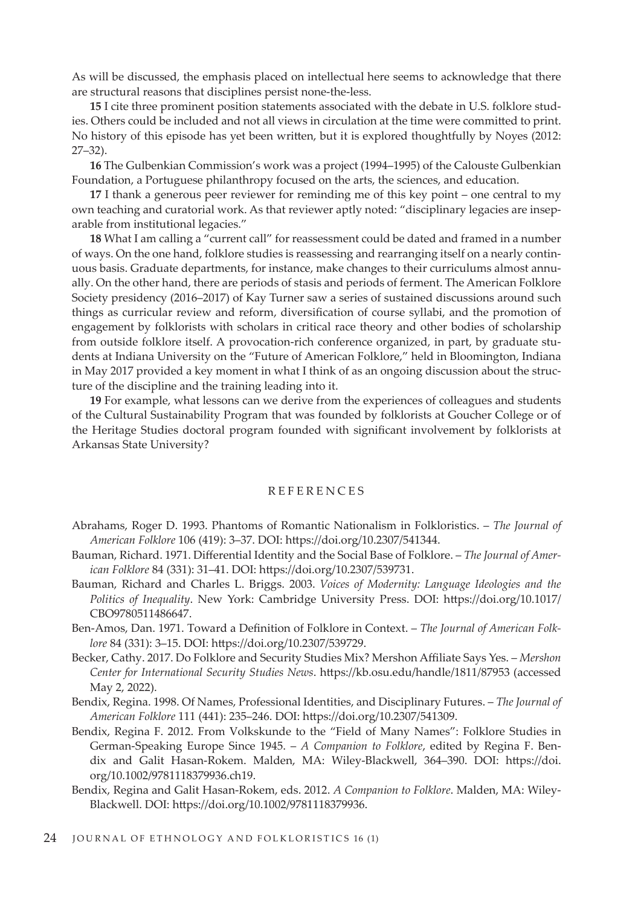As will be discussed, the emphasis placed on intellectual here seems to acknowledge that there are structural reasons that disciplines persist none-the-less.

**15** I cite three prominent position statements associated with the debate in U.S. folklore studies. Others could be included and not all views in circulation at the time were committed to print. No history of this episode has yet been written, but it is explored thoughtfully by Noyes (2012: 27–32).

**16** The Gulbenkian Commission's work was a project (1994–1995) of the Calouste Gulbenkian Foundation, a Portuguese philanthropy focused on the arts, the sciences, and education.

**17** I thank a generous peer reviewer for reminding me of this key point – one central to my own teaching and curatorial work. As that reviewer aptly noted: "disciplinary legacies are inseparable from institutional legacies."

**18** What I am calling a "current call" for reassessment could be dated and framed in a number of ways. On the one hand, folklore studies is reassessing and rearranging itself on a nearly continuous basis. Graduate departments, for instance, make changes to their curriculums almost annually. On the other hand, there are periods of stasis and periods of ferment. The American Folklore Society presidency (2016–2017) of Kay Turner saw a series of sustained discussions around such things as curricular review and reform, diversification of course syllabi, and the promotion of engagement by folklorists with scholars in critical race theory and other bodies of scholarship from outside folklore itself. A provocation-rich conference organized, in part, by graduate students at Indiana University on the "Future of American Folklore," held in Bloomington, Indiana in May 2017 provided a key moment in what I think of as an ongoing discussion about the structure of the discipline and the training leading into it.

**19** For example, what lessons can we derive from the experiences of colleagues and students of the Cultural Sustainability Program that was founded by folklorists at Goucher College or of the Heritage Studies doctoral program founded with significant involvement by folklorists at Arkansas State University?

## **REFERENCES**

- Abrahams, Roger D. 1993. Phantoms of Romantic Nationalism in Folkloristics. *The Journal of American Folklore* 106 (419): 3–37. DOI: https://doi.org/10.2307/541344.
- Bauman, Richard. 1971. Differential Identity and the Social Base of Folklore. *The Journal of American Folklore* 84 (331): 31–41. DOI: https://doi.org/10.2307/539731.
- Bauman, Richard and Charles L. Briggs. 2003. *Voices of Modernity: Language Ideologies and the Politics of Inequality*. New York: Cambridge University Press. DOI: https://doi.org/10.1017/ CBO9780511486647.
- Ben-Amos, Dan. 1971. Toward a Definition of Folklore in Context. *The Journal of American Folklore* 84 (331): 3–15. DOI: https://doi.org/10.2307/539729.
- Becker, Cathy. 2017. Do Folklore and Security Studies Mix? Mershon Affiliate Says Yes. *Mershon Center for International Security Studies News*. https://kb.osu.edu/handle/1811/87953 (accessed May 2, 2022).
- Bendix, Regina. 1998. Of Names, Professional Identities, and Disciplinary Futures. *The Journal of American Folklore* 111 (441): 235–246. DOI: https://doi.org/10.2307/541309.
- Bendix, Regina F. 2012. From Volkskunde to the "Field of Many Names": Folklore Studies in German-Speaking Europe Since 1945. – *A Companion to Folklore*, edited by Regina F. Bendix and Galit Hasan‐Rokem. Malden, MA: Wiley-Blackwell, 364–390. DOI: https://doi. org/10.1002/9781118379936.ch19.
- Bendix, Regina and Galit Hasan-Rokem, eds. 2012. *A Companion to Folklore*. Malden, MA: Wiley-Blackwell. DOI: https://doi.org/10.1002/9781118379936.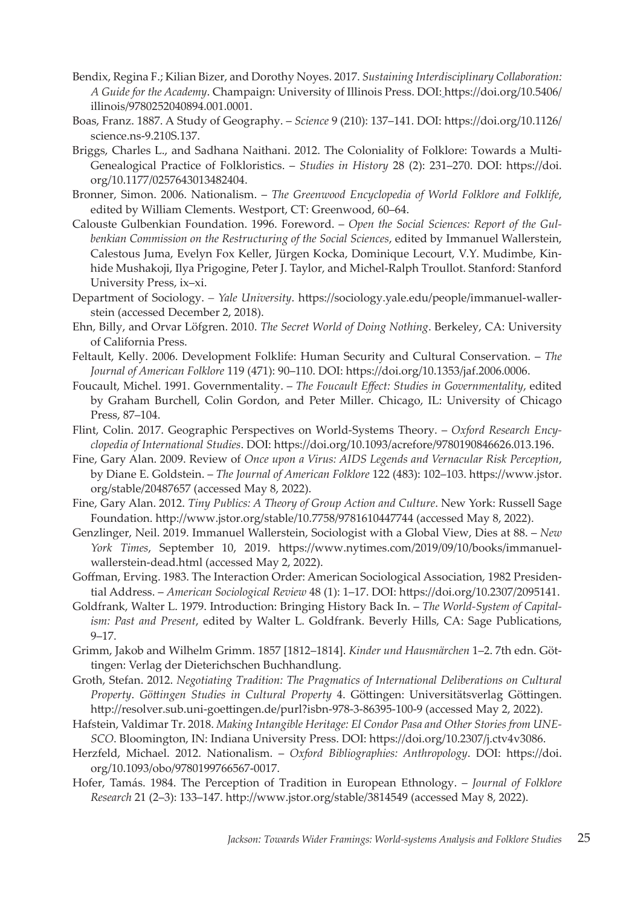- Bendix, Regina F.; Kilian Bizer, and Dorothy Noyes. 2017. *Sustaining Interdisciplinary Collaboration: A Guide for the Academy*. Champaign: University of Illinois Press. DOI: https://doi.org/10.5406/ illinois/9780252040894.001.0001.
- Boas, Franz. 1887. A Study of Geography. *Science* 9 (210): 137–141. DOI: https://doi.org/10.1126/ science.ns-9.210S.137.
- Briggs, Charles L., and Sadhana Naithani. 2012. The Coloniality of Folklore: Towards a Multi-Genealogical Practice of Folkloristics. – *Studies in History* 28 (2): 231–270. DOI: https://doi. org/10.1177/0257643013482404.
- Bronner, Simon. 2006. Nationalism. *The Greenwood Encyclopedia of World Folklore and Folklife*, edited by William Clements. Westport, CT: Greenwood, 60–64.
- Calouste Gulbenkian Foundation. 1996. Foreword. *Open the Social Sciences: Report of the Gulbenkian Commission on the Restructuring of the Social Sciences*, edited by Immanuel Wallerstein, Calestous Juma, Evelyn Fox Keller, Jürgen Kocka, Dominique Lecourt, V.Y. Mudimbe, Kinhide Mushakoji, Ilya Prigogine, Peter J. Taylor, and Michel-Ralph Troullot. Stanford: Stanford University Press, ix–xi.
- Department of Sociology. *Yale University*. https://sociology.yale.edu/people/immanuel-wallerstein (accessed December 2, 2018).
- Ehn, Billy, and Orvar Löfgren. 2010. *The Secret World of Doing Nothing*. Berkeley, CA: University of California Press.
- Feltault, Kelly. 2006. Development Folklife: Human Security and Cultural Conservation. *The Journal of American Folklore* 119 (471): 90–110. DOI: https://doi.org/10.1353/jaf.2006.0006.
- Foucault, Michel. 1991. Governmentality. *The Foucault Effect: Studies in Governmentality*, edited by Graham Burchell, Colin Gordon, and Peter Miller. Chicago, IL: University of Chicago Press, 87–104.
- Flint, Colin. 2017. Geographic Perspectives on World-Systems Theory. *Oxford Research Encyclopedia of International Studies*. DOI: https://doi.org/10.1093/acrefore/9780190846626.013.196.
- Fine, Gary Alan. 2009. Review of *Once upon a Virus: AIDS Legends and Vernacular Risk Perception*, by Diane E. Goldstein. – *The Journal of American Folklore* 122 (483): 102–103. https://www.jstor. org/stable/20487657 (accessed May 8, 2022).
- Fine, Gary Alan. 2012. *Tiny Publics: A Theory of Group Action and Culture*. New York: Russell Sage Foundation. http://www.jstor.org/stable/10.7758/9781610447744 (accessed May 8, 2022).
- Genzlinger, Neil. 2019. Immanuel Wallerstein, Sociologist with a Global View, Dies at 88. *New York Times*, September 10, 2019. https://www.nytimes.com/2019/09/10/books/immanuelwallerstein-dead.html (accessed May 2, 2022).
- Goffman, Erving. 1983. The Interaction Order: American Sociological Association, 1982 Presidential Address. – *American Sociological Review* 48 (1): 1–17. DOI: https://doi.org/10.2307/2095141.
- Goldfrank, Walter L. 1979. Introduction: Bringing History Back In. *The World-System of Capitalism: Past and Present*, edited by Walter L. Goldfrank. Beverly Hills, CA: Sage Publications, 9–17.
- Grimm, Jakob and Wilhelm Grimm. 1857 [1812–1814]. *Kinder und Hausmärchen* 1–2. 7th edn. Göttingen: Verlag der Dieterichschen Buchhandlung.
- Groth, Stefan. 2012. *Negotiating Tradition: The Pragmatics of International Deliberations on Cultural Property*. *Göttingen Studies in Cultural Property* 4. Göttingen: Universitätsverlag Göttingen. http://resolver.sub.uni-goettingen.de/purl?isbn-978-3-86395-100-9 (accessed May 2, 2022).
- Hafstein, Valdimar Tr. 2018. *Making Intangible Heritage: El Condor Pasa and Other Stories from UNE-SCO*. Bloomington, IN: Indiana University Press. DOI: https://doi.org/10.2307/j.ctv4v3086.
- Herzfeld, Michael. 2012. Nationalism. *Oxford Bibliographies: Anthropology*. DOI: https://doi. org/10.1093/obo/9780199766567-0017.
- Hofer, Tamás. 1984. The Perception of Tradition in European Ethnology. *Journal of Folklore Research* 21 (2–3): 133–147. http://www.jstor.org/stable/3814549 (accessed May 8, 2022).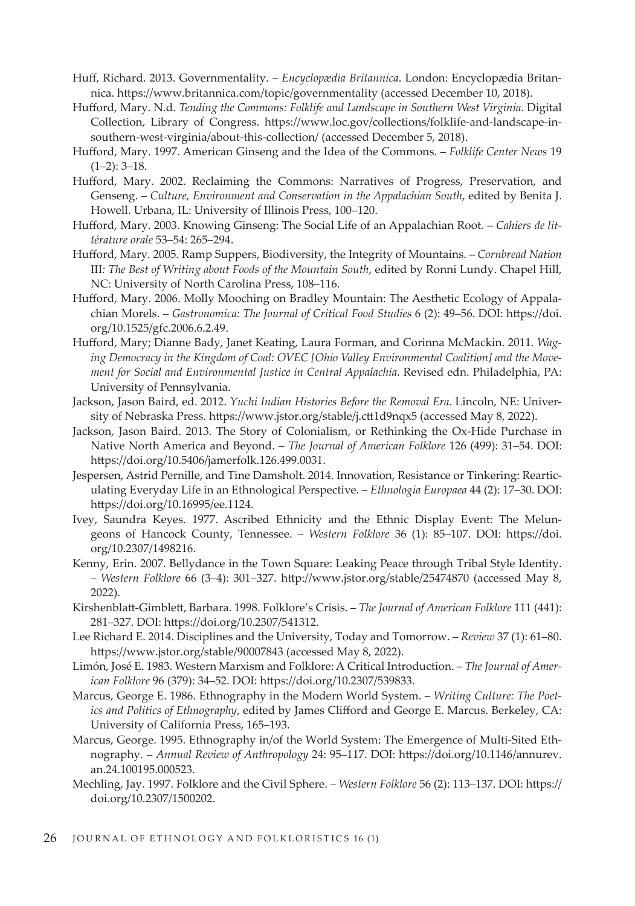- Huff, Richard. 2013. Governmentality. *Encyclopædia Britannica*. London: Encyclopædia Britannica. https://www.britannica.com/topic/governmentality (accessed December 10, 2018).
- Hufford, Mary. N.d. *Tending the Commons: Folklife and Landscape in Southern West Virginia*. Digital Collection, Library of Congress. https://www.loc.gov/collections/folklife-and-landscape-insouthern-west-virginia/about-this-collection/ (accessed December 5, 2018).
- Hufford, Mary. 1997. American Ginseng and the Idea of the Commons. *Folklife Center News* 19  $(1-2)$ : 3-18.
- Hufford, Mary. 2002. Reclaiming the Commons: Narratives of Progress, Preservation, and Genseng. – *Culture, Environment and Conservation in the Appalachian South*, edited by Benita J. Howell. Urbana, IL: University of Illinois Press, 100–120.
- Hufford, Mary. 2003. Knowing Ginseng: The Social Life of an Appalachian Root. – *Cahiers de littérature orale* 53–54: 265–294.
- Hufford, Mary. 2005. Ramp Suppers, Biodiversity, the Integrity of Mountains. *Cornbread Nation*  III*: The Best of Writing about Foods of the Mountain South*, edited by Ronni Lundy. Chapel Hill, NC: University of North Carolina Press, 108–116.
- Hufford, Mary. 2006. Molly Mooching on Bradley Mountain: The Aesthetic Ecology of Appalachian Morels. – *Gastronomica: The Journal of Critical Food Studies* 6 (2): 49–56. DOI: https://doi. org/10.1525/gfc.2006.6.2.49.
- Hufford, Mary; Dianne Bady, Janet Keating, Laura Forman, and Corinna McMackin. 2011. *Waging Democracy in the Kingdom of Coal: OVEC [Ohio Valley Environmental Coalition] and the Movement for Social and Environmental Justice in Central Appalachia*. Revised edn. Philadelphia, PA: University of Pennsylvania.
- Jackson, Jason Baird, ed. 2012. *Yuchi Indian Histories Before the Removal Era*. Lincoln, NE: University of Nebraska Press. https://www.jstor.org/stable/j.ctt1d9nqx5 (accessed May 8, 2022).
- Jackson, Jason Baird. 2013. The Story of Colonialism, or Rethinking the Ox-Hide Purchase in Native North America and Beyond. – *The Journal of American Folklore* 126 (499): 31–54. DOI: https://doi.org/10.5406/jamerfolk.126.499.0031.
- Jespersen, Astrid Pernille, and Tine Damsholt. 2014. Innovation, Resistance or Tinkering: Rearticulating Everyday Life in an Ethnological Perspective. – *Ethnologia Europaea* 44 (2): 17–30. DOI: https://doi.org/10.16995/ee.1124.
- Ivey, Saundra Keyes. 1977. Ascribed Ethnicity and the Ethnic Display Event: The Melungeons of Hancock County, Tennessee. – *Western Folklore* 36 (1): 85–107. DOI: https://doi. org/10.2307/1498216.
- Kenny, Erin. 2007. Bellydance in the Town Square: Leaking Peace through Tribal Style Identity. – *Western Folklore* 66 (3–4): 301–327. http://www.jstor.org/stable/25474870 (accessed May 8, 2022).
- Kirshenblatt-Gimblett, Barbara. 1998. Folklore's Crisis. *The Journal of American Folklore* 111 (441): 281–327. DOI: https://doi.org/10.2307/541312.
- Lee Richard E. 2014. Disciplines and the University, Today and Tomorrow. *Review* 37 (1): 61–80. https://www.jstor.org/stable/90007843 (accessed May 8, 2022).
- Limón, José E. 1983. Western Marxism and Folklore: A Critical Introduction. *The Journal of American Folklore* 96 (379): 34–52. DOI: https://doi.org/10.2307/539833.
- Marcus, George E. 1986. Ethnography in the Modern World System. *Writing Culture: The Poetics and Politics of Ethnography*, edited by James Clifford and George E. Marcus. Berkeley, CA: University of California Press, 165–193.
- Marcus, George. 1995. Ethnography in/of the World System: The Emergence of Multi-Sited Ethnography. – *Annual Review of Anthropology* 24: 95–117. DOI: https://doi.org/10.1146/annurev. an.24.100195.000523.
- Mechling, Jay. 1997. Folklore and the Civil Sphere. *Western Folklore* 56 (2): 113–137. DOI: https:// doi.org/10.2307/1500202.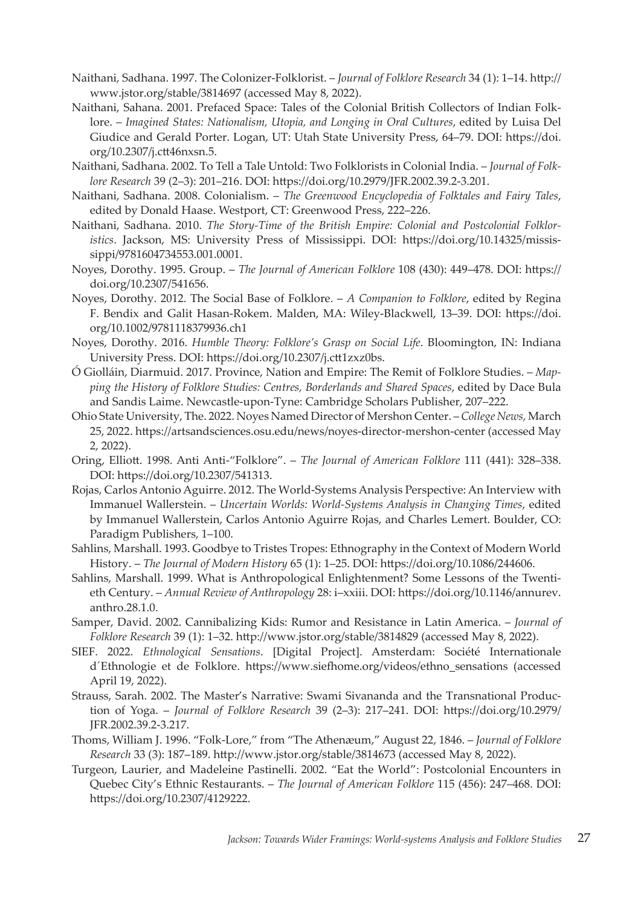- Naithani, Sadhana. 1997. The Colonizer-Folklorist. *Journal of Folklore Research* 34 (1): 1–14. http:// www.jstor.org/stable/3814697 (accessed May 8, 2022).
- Naithani, Sahana. 2001. Prefaced Space: Tales of the Colonial British Collectors of Indian Folklore. – *Imagined States: Nationalism, Utopia, and Longing in Oral Cultures*, edited by Luisa Del Giudice and Gerald Porter. Logan, UT: Utah State University Press, 64–79. DOI: https://doi. org/10.2307/j.ctt46nxsn.5.
- Naithani, Sadhana. 2002. To Tell a Tale Untold: Two Folklorists in Colonial India. *Journal of Folklore Research* 39 (2–3): 201–216. DOI: https://doi.org/10.2979/JFR.2002.39.2-3.201.
- Naithani, Sadhana. 2008. Colonialism. *The Greenwood Encyclopedia of Folktales and Fairy Tales*, edited by Donald Haase. Westport, CT: Greenwood Press, 222–226.
- Naithani, Sadhana. 2010. *The Story-Time of the British Empire: Colonial and Postcolonial Folkloristics*. Jackson, MS: University Press of Mississippi. DOI: https://doi.org/10.14325/mississippi/9781604734553.001.0001.
- Noyes, Dorothy. 1995. Group. *The Journal of American Folklore* 108 (430): 449–478. DOI: https:// doi.org/10.2307/541656.
- Noyes, Dorothy. 2012. The Social Base of Folklore. *A Companion to Folklore*, edited by Regina F. Bendix and Galit Hasan‐Rokem. Malden, MA: Wiley-Blackwell, 13–39. DOI: https://doi. org/10.1002/9781118379936.ch1
- Noyes, Dorothy. 2016. *Humble Theory: Folklore's Grasp on Social Life*. Bloomington, IN: Indiana University Press. DOI: https://doi.org/10.2307/j.ctt1zxz0bs.
- Ó Giolláin, Diarmuid. 2017. Province, Nation and Empire: The Remit of Folklore Studies. *Mapping the History of Folklore Studies: Centres, Borderlands and Shared Spaces*, edited by Dace Bula and Sandis Laime. Newcastle-upon-Tyne: Cambridge Scholars Publisher, 207–222.
- Ohio State University, The. 2022. Noyes Named Director of Mershon Center. *College News,* March 25, 2022. https://artsandsciences.osu.edu/news/noyes-director-mershon-center (accessed May 2, 2022).
- Oring, Elliott. 1998. Anti Anti-"Folklore". *The Journal of American Folklore* 111 (441): 328–338. DOI: https://doi.org/10.2307/541313.
- Rojas, Carlos Antonio Aguirre. 2012. The World-Systems Analysis Perspective: An Interview with Immanuel Wallerstein. – *Uncertain Worlds: World-Systems Analysis in Changing Times*, edited by Immanuel Wallerstein, Carlos Antonio Aguirre Rojas, and Charles Lemert. Boulder, CO: Paradigm Publishers, 1–100.
- Sahlins, Marshall. 1993. Goodbye to Tristes Tropes: Ethnography in the Context of Modern World History. – *The Journal of Modern History* 65 (1): 1–25. DOI: https://doi.org/10.1086/244606.
- Sahlins, Marshall. 1999. What is Anthropological Enlightenment? Some Lessons of the Twentieth Century. – *Annual Review of Anthropology* 28: i–xxiii. DOI: https://doi.org/10.1146/annurev. anthro.28.1.0.
- Samper, David. 2002. Cannibalizing Kids: Rumor and Resistance in Latin America. *Journal of Folklore Research* 39 (1): 1–32. http://www.jstor.org/stable/3814829 (accessed May 8, 2022).
- SIEF. 2022. *Ethnological Sensations*. [Digital Project]. Amsterdam: Société Internationale d´Ethnologie et de Folklore. https://www.siefhome.org/videos/ethno\_sensations (accessed April 19, 2022).
- Strauss, Sarah. 2002. The Master's Narrative: Swami Sivananda and the Transnational Production of Yoga. – *Journal of Folklore Research* 39 (2–3): 217–241. DOI: https://doi.org/10.2979/ JFR.2002.39.2-3.217.
- Thoms, William J. 1996. "Folk-Lore," from "The Athenæum," August 22, 1846. *Journal of Folklore Research* 33 (3): 187–189. http://www.jstor.org/stable/3814673 (accessed May 8, 2022).
- Turgeon, Laurier, and Madeleine Pastinelli. 2002. "Eat the World": Postcolonial Encounters in Quebec City's Ethnic Restaurants. – *The Journal of American Folklore* 115 (456): 247–468. DOI: https://doi.org/10.2307/4129222.